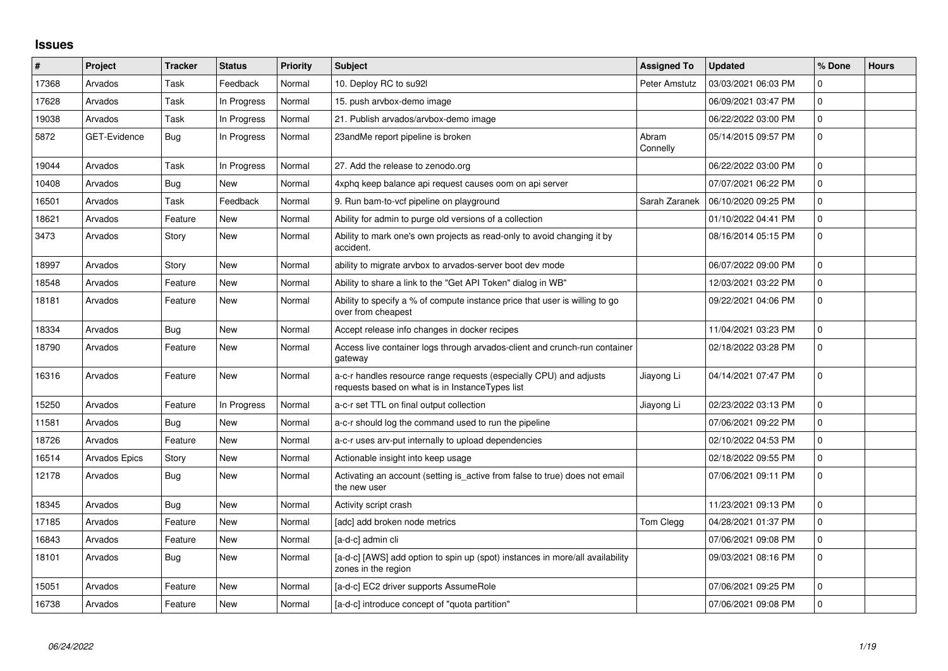## **Issues**

| #     | Project              | <b>Tracker</b> | <b>Status</b> | <b>Priority</b> | <b>Subject</b>                                                                                                        | <b>Assigned To</b>   | <b>Updated</b>      | % Done      | <b>Hours</b> |
|-------|----------------------|----------------|---------------|-----------------|-----------------------------------------------------------------------------------------------------------------------|----------------------|---------------------|-------------|--------------|
| 17368 | Arvados              | Task           | Feedback      | Normal          | 10. Deploy RC to su92l                                                                                                | <b>Peter Amstutz</b> | 03/03/2021 06:03 PM | $\Omega$    |              |
| 17628 | Arvados              | Task           | In Progress   | Normal          | 15. push arvbox-demo image                                                                                            |                      | 06/09/2021 03:47 PM | $\Omega$    |              |
| 19038 | Arvados              | Task           | In Progress   | Normal          | 21. Publish arvados/arvbox-demo image                                                                                 |                      | 06/22/2022 03:00 PM | 0           |              |
| 5872  | <b>GET-Evidence</b>  | Bug            | In Progress   | Normal          | 23andMe report pipeline is broken                                                                                     | Abram<br>Connelly    | 05/14/2015 09:57 PM | $\mathbf 0$ |              |
| 19044 | Arvados              | Task           | In Progress   | Normal          | 27. Add the release to zenodo.org                                                                                     |                      | 06/22/2022 03:00 PM | $\mathbf 0$ |              |
| 10408 | Arvados              | Bug            | New           | Normal          | 4xphq keep balance api request causes oom on api server                                                               |                      | 07/07/2021 06:22 PM | $\Omega$    |              |
| 16501 | Arvados              | Task           | Feedback      | Normal          | 9. Run bam-to-vcf pipeline on playground                                                                              | Sarah Zaranek        | 06/10/2020 09:25 PM | $\Omega$    |              |
| 18621 | Arvados              | Feature        | New           | Normal          | Ability for admin to purge old versions of a collection                                                               |                      | 01/10/2022 04:41 PM | $\mathbf 0$ |              |
| 3473  | Arvados              | Story          | New           | Normal          | Ability to mark one's own projects as read-only to avoid changing it by<br>accident.                                  |                      | 08/16/2014 05:15 PM | $\mathbf 0$ |              |
| 18997 | Arvados              | Story          | New           | Normal          | ability to migrate arvbox to arvados-server boot dev mode                                                             |                      | 06/07/2022 09:00 PM | $\Omega$    |              |
| 18548 | Arvados              | Feature        | <b>New</b>    | Normal          | Ability to share a link to the "Get API Token" dialog in WB"                                                          |                      | 12/03/2021 03:22 PM | $\mathbf 0$ |              |
| 18181 | Arvados              | Feature        | New           | Normal          | Ability to specify a % of compute instance price that user is willing to go<br>over from cheapest                     |                      | 09/22/2021 04:06 PM | $\mathbf 0$ |              |
| 18334 | Arvados              | Bug            | <b>New</b>    | Normal          | Accept release info changes in docker recipes                                                                         |                      | 11/04/2021 03:23 PM | $\Omega$    |              |
| 18790 | Arvados              | Feature        | New           | Normal          | Access live container logs through arvados-client and crunch-run container<br>gateway                                 |                      | 02/18/2022 03:28 PM | $\Omega$    |              |
| 16316 | Arvados              | Feature        | <b>New</b>    | Normal          | a-c-r handles resource range requests (especially CPU) and adjusts<br>requests based on what is in InstanceTypes list | Jiayong Li           | 04/14/2021 07:47 PM | $\Omega$    |              |
| 15250 | Arvados              | Feature        | In Progress   | Normal          | a-c-r set TTL on final output collection                                                                              | Jiayong Li           | 02/23/2022 03:13 PM | $\Omega$    |              |
| 11581 | Arvados              | Bug            | New           | Normal          | a-c-r should log the command used to run the pipeline                                                                 |                      | 07/06/2021 09:22 PM | $\mathbf 0$ |              |
| 18726 | Arvados              | Feature        | <b>New</b>    | Normal          | a-c-r uses arv-put internally to upload dependencies                                                                  |                      | 02/10/2022 04:53 PM | $\Omega$    |              |
| 16514 | <b>Arvados Epics</b> | Story          | New           | Normal          | Actionable insight into keep usage                                                                                    |                      | 02/18/2022 09:55 PM | $\Omega$    |              |
| 12178 | Arvados              | Bug            | <b>New</b>    | Normal          | Activating an account (setting is_active from false to true) does not email<br>the new user                           |                      | 07/06/2021 09:11 PM | $\mathbf 0$ |              |
| 18345 | Arvados              | <b>Bug</b>     | New           | Normal          | Activity script crash                                                                                                 |                      | 11/23/2021 09:13 PM | 0           |              |
| 17185 | Arvados              | Feature        | <b>New</b>    | Normal          | [adc] add broken node metrics                                                                                         | Tom Clegg            | 04/28/2021 01:37 PM | $\Omega$    |              |
| 16843 | Arvados              | Feature        | New           | Normal          | [a-d-c] admin cli                                                                                                     |                      | 07/06/2021 09:08 PM | $\mathbf 0$ |              |
| 18101 | Arvados              | <b>Bug</b>     | New           | Normal          | [a-d-c] [AWS] add option to spin up (spot) instances in more/all availability<br>zones in the region                  |                      | 09/03/2021 08:16 PM | $\mathbf 0$ |              |
| 15051 | Arvados              | Feature        | <b>New</b>    | Normal          | [a-d-c] EC2 driver supports AssumeRole                                                                                |                      | 07/06/2021 09:25 PM | $\mathbf 0$ |              |
| 16738 | Arvados              | Feature        | New           | Normal          | [a-d-c] introduce concept of "quota partition"                                                                        |                      | 07/06/2021 09:08 PM | $\Omega$    |              |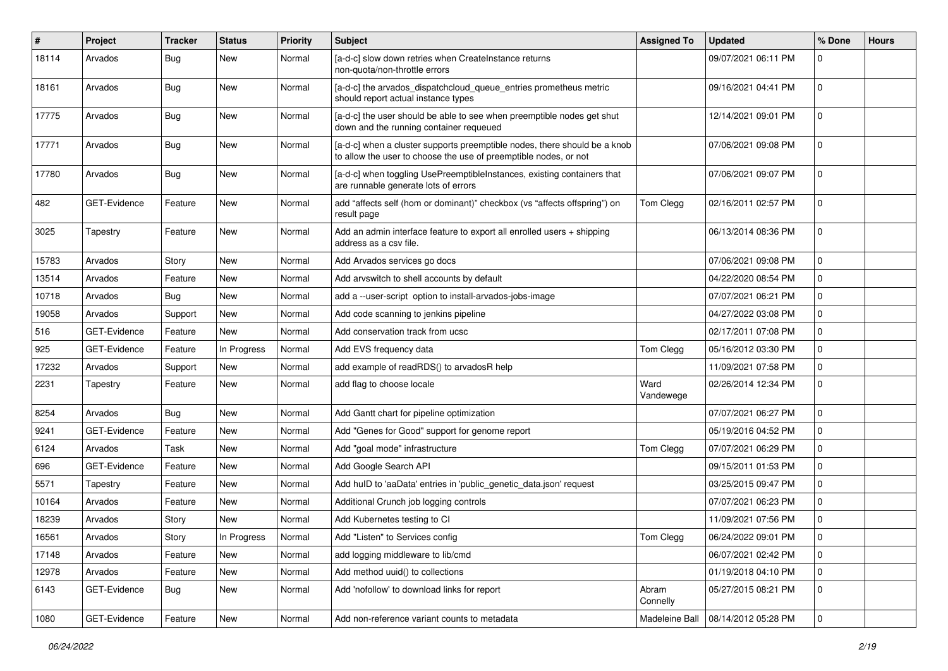| #     | Project      | <b>Tracker</b> | <b>Status</b> | <b>Priority</b> | <b>Subject</b>                                                                                                                                | <b>Assigned To</b> | <b>Updated</b>      | % Done         | <b>Hours</b> |
|-------|--------------|----------------|---------------|-----------------|-----------------------------------------------------------------------------------------------------------------------------------------------|--------------------|---------------------|----------------|--------------|
| 18114 | Arvados      | Bug            | New           | Normal          | [a-d-c] slow down retries when CreateInstance returns<br>non-quota/non-throttle errors                                                        |                    | 09/07/2021 06:11 PM | $\Omega$       |              |
| 18161 | Arvados      | Bug            | New           | Normal          | [a-d-c] the arvados_dispatchcloud_queue_entries prometheus metric<br>should report actual instance types                                      |                    | 09/16/2021 04:41 PM | $\mathbf 0$    |              |
| 17775 | Arvados      | Bug            | <b>New</b>    | Normal          | [a-d-c] the user should be able to see when preemptible nodes get shut<br>down and the running container requeued                             |                    | 12/14/2021 09:01 PM | $\mathbf 0$    |              |
| 17771 | Arvados      | Bug            | <b>New</b>    | Normal          | [a-d-c] when a cluster supports preemptible nodes, there should be a knob<br>to allow the user to choose the use of preemptible nodes, or not |                    | 07/06/2021 09:08 PM | $\mathbf 0$    |              |
| 17780 | Arvados      | Bug            | <b>New</b>    | Normal          | [a-d-c] when toggling UsePreemptibleInstances, existing containers that<br>are runnable generate lots of errors                               |                    | 07/06/2021 09:07 PM | $\Omega$       |              |
| 482   | GET-Evidence | Feature        | <b>New</b>    | Normal          | add "affects self (hom or dominant)" checkbox (vs "affects offspring") on<br>result page                                                      | Tom Clegg          | 02/16/2011 02:57 PM | $\mathbf 0$    |              |
| 3025  | Tapestry     | Feature        | <b>New</b>    | Normal          | Add an admin interface feature to export all enrolled users + shipping<br>address as a csy file.                                              |                    | 06/13/2014 08:36 PM | $\mathbf{0}$   |              |
| 15783 | Arvados      | Story          | New           | Normal          | Add Arvados services go docs                                                                                                                  |                    | 07/06/2021 09:08 PM | $\mathbf 0$    |              |
| 13514 | Arvados      | Feature        | New           | Normal          | Add arvswitch to shell accounts by default                                                                                                    |                    | 04/22/2020 08:54 PM | 0              |              |
| 10718 | Arvados      | Bug            | New           | Normal          | add a --user-script option to install-arvados-jobs-image                                                                                      |                    | 07/07/2021 06:21 PM | $\mathbf 0$    |              |
| 19058 | Arvados      | Support        | New           | Normal          | Add code scanning to jenkins pipeline                                                                                                         |                    | 04/27/2022 03:08 PM | $\mathbf 0$    |              |
| 516   | GET-Evidence | Feature        | New           | Normal          | Add conservation track from ucsc                                                                                                              |                    | 02/17/2011 07:08 PM | $\mathbf 0$    |              |
| 925   | GET-Evidence | Feature        | In Progress   | Normal          | Add EVS frequency data                                                                                                                        | Tom Clegg          | 05/16/2012 03:30 PM | $\mathbf 0$    |              |
| 17232 | Arvados      | Support        | New           | Normal          | add example of readRDS() to arvadosR help                                                                                                     |                    | 11/09/2021 07:58 PM | $\mathbf 0$    |              |
| 2231  | Tapestry     | Feature        | New           | Normal          | add flag to choose locale                                                                                                                     | Ward<br>Vandewege  | 02/26/2014 12:34 PM | $\mathbf 0$    |              |
| 8254  | Arvados      | Bug            | New           | Normal          | Add Gantt chart for pipeline optimization                                                                                                     |                    | 07/07/2021 06:27 PM | $\mathbf 0$    |              |
| 9241  | GET-Evidence | Feature        | New           | Normal          | Add "Genes for Good" support for genome report                                                                                                |                    | 05/19/2016 04:52 PM | $\mathbf 0$    |              |
| 6124  | Arvados      | Task           | New           | Normal          | Add "goal mode" infrastructure                                                                                                                | Tom Clegg          | 07/07/2021 06:29 PM | $\mathbf 0$    |              |
| 696   | GET-Evidence | Feature        | New           | Normal          | Add Google Search API                                                                                                                         |                    | 09/15/2011 01:53 PM | $\mathbf 0$    |              |
| 5571  | Tapestry     | Feature        | New           | Normal          | Add hulD to 'aaData' entries in 'public_genetic_data.json' request                                                                            |                    | 03/25/2015 09:47 PM | $\mathbf 0$    |              |
| 10164 | Arvados      | Feature        | New           | Normal          | Additional Crunch job logging controls                                                                                                        |                    | 07/07/2021 06:23 PM | $\mathbf 0$    |              |
| 18239 | Arvados      | Story          | <b>New</b>    | Normal          | Add Kubernetes testing to CI                                                                                                                  |                    | 11/09/2021 07:56 PM | 0              |              |
| 16561 | Arvados      | Story          | In Progress   | Normal          | Add "Listen" to Services config                                                                                                               | Tom Clegg          | 06/24/2022 09:01 PM | $\pmb{0}$      |              |
| 17148 | Arvados      | Feature        | New           | Normal          | add logging middleware to lib/cmd                                                                                                             |                    | 06/07/2021 02:42 PM | $\mathbf 0$    |              |
| 12978 | Arvados      | Feature        | New           | Normal          | Add method uuid() to collections                                                                                                              |                    | 01/19/2018 04:10 PM | $\overline{0}$ |              |
| 6143  | GET-Evidence | Bug            | New           | Normal          | Add 'nofollow' to download links for report                                                                                                   | Abram<br>Connelly  | 05/27/2015 08:21 PM | $\overline{0}$ |              |
| 1080  | GET-Evidence | Feature        | New           | Normal          | Add non-reference variant counts to metadata                                                                                                  | Madeleine Ball     | 08/14/2012 05:28 PM | 0              |              |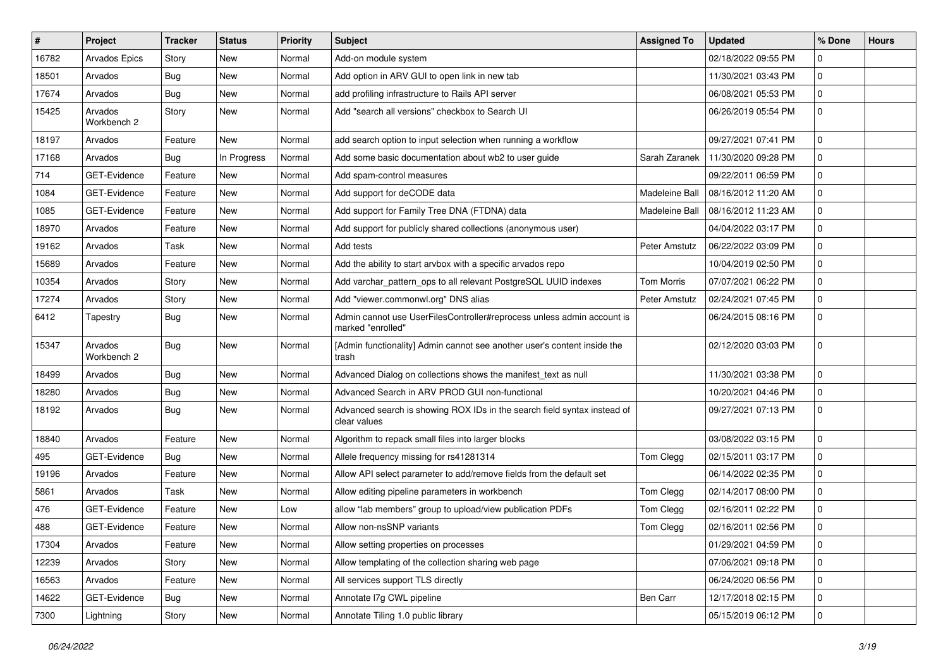| #     | Project                | <b>Tracker</b> | <b>Status</b> | <b>Priority</b> | <b>Subject</b>                                                                              | <b>Assigned To</b> | <b>Updated</b>      | % Done      | <b>Hours</b> |
|-------|------------------------|----------------|---------------|-----------------|---------------------------------------------------------------------------------------------|--------------------|---------------------|-------------|--------------|
| 16782 | Arvados Epics          | Story          | New           | Normal          | Add-on module system                                                                        |                    | 02/18/2022 09:55 PM | $\Omega$    |              |
| 18501 | Arvados                | Bug            | <b>New</b>    | Normal          | Add option in ARV GUI to open link in new tab                                               |                    | 11/30/2021 03:43 PM | $\mathbf 0$ |              |
| 17674 | Arvados                | Bug            | New           | Normal          | add profiling infrastructure to Rails API server                                            |                    | 06/08/2021 05:53 PM | $\mathbf 0$ |              |
| 15425 | Arvados<br>Workbench 2 | Story          | New           | Normal          | Add "search all versions" checkbox to Search UI                                             |                    | 06/26/2019 05:54 PM | $\mathbf 0$ |              |
| 18197 | Arvados                | Feature        | New           | Normal          | add search option to input selection when running a workflow                                |                    | 09/27/2021 07:41 PM | $\Omega$    |              |
| 17168 | Arvados                | Bug            | In Progress   | Normal          | Add some basic documentation about wb2 to user guide                                        | Sarah Zaranek      | 11/30/2020 09:28 PM | $\Omega$    |              |
| 714   | GET-Evidence           | Feature        | New           | Normal          | Add spam-control measures                                                                   |                    | 09/22/2011 06:59 PM | 0           |              |
| 1084  | GET-Evidence           | Feature        | New           | Normal          | Add support for deCODE data                                                                 | Madeleine Ball     | 08/16/2012 11:20 AM | $\Omega$    |              |
| 1085  | GET-Evidence           | Feature        | New           | Normal          | Add support for Family Tree DNA (FTDNA) data                                                | Madeleine Ball     | 08/16/2012 11:23 AM | $\mathbf 0$ |              |
| 18970 | Arvados                | Feature        | New           | Normal          | Add support for publicly shared collections (anonymous user)                                |                    | 04/04/2022 03:17 PM | $\Omega$    |              |
| 19162 | Arvados                | Task           | New           | Normal          | Add tests                                                                                   | Peter Amstutz      | 06/22/2022 03:09 PM | $\mathbf 0$ |              |
| 15689 | Arvados                | Feature        | New           | Normal          | Add the ability to start arvbox with a specific arvados repo                                |                    | 10/04/2019 02:50 PM | 0           |              |
| 10354 | Arvados                | Story          | New           | Normal          | Add varchar_pattern_ops to all relevant PostgreSQL UUID indexes                             | Tom Morris         | 07/07/2021 06:22 PM | $\Omega$    |              |
| 17274 | Arvados                | Story          | New           | Normal          | Add "viewer.commonwl.org" DNS alias                                                         | Peter Amstutz      | 02/24/2021 07:45 PM | $\mathbf 0$ |              |
| 6412  | Tapestry               | Bug            | New           | Normal          | Admin cannot use UserFilesController#reprocess unless admin account is<br>marked "enrolled" |                    | 06/24/2015 08:16 PM | $\Omega$    |              |
| 15347 | Arvados<br>Workbench 2 | Bug            | New           | Normal          | [Admin functionality] Admin cannot see another user's content inside the<br>trash           |                    | 02/12/2020 03:03 PM | $\mathbf 0$ |              |
| 18499 | Arvados                | Bug            | New           | Normal          | Advanced Dialog on collections shows the manifest_text as null                              |                    | 11/30/2021 03:38 PM | $\Omega$    |              |
| 18280 | Arvados                | Bug            | New           | Normal          | Advanced Search in ARV PROD GUI non-functional                                              |                    | 10/20/2021 04:46 PM | $\mathbf 0$ |              |
| 18192 | Arvados                | Bug            | <b>New</b>    | Normal          | Advanced search is showing ROX IDs in the search field syntax instead of<br>clear values    |                    | 09/27/2021 07:13 PM | $\Omega$    |              |
| 18840 | Arvados                | Feature        | New           | Normal          | Algorithm to repack small files into larger blocks                                          |                    | 03/08/2022 03:15 PM | 0           |              |
| 495   | GET-Evidence           | Bug            | New           | Normal          | Allele frequency missing for rs41281314                                                     | Tom Clegg          | 02/15/2011 03:17 PM | $\Omega$    |              |
| 19196 | Arvados                | Feature        | New           | Normal          | Allow API select parameter to add/remove fields from the default set                        |                    | 06/14/2022 02:35 PM | $\mathbf 0$ |              |
| 5861  | Arvados                | Task           | New           | Normal          | Allow editing pipeline parameters in workbench                                              | Tom Clegg          | 02/14/2017 08:00 PM | $\Omega$    |              |
| 476   | GET-Evidence           | Feature        | <b>New</b>    | Low             | allow "lab members" group to upload/view publication PDFs                                   | Tom Clegg          | 02/16/2011 02:22 PM | $\Omega$    |              |
| 488   | GET-Evidence           | Feature        | New           | Normal          | Allow non-nsSNP variants                                                                    | Tom Clegg          | 02/16/2011 02:56 PM | 0           |              |
| 17304 | Arvados                | Feature        | New           | Normal          | Allow setting properties on processes                                                       |                    | 01/29/2021 04:59 PM | $\mathbf 0$ |              |
| 12239 | Arvados                | Story          | New           | Normal          | Allow templating of the collection sharing web page                                         |                    | 07/06/2021 09:18 PM | 0           |              |
| 16563 | Arvados                | Feature        | New           | Normal          | All services support TLS directly                                                           |                    | 06/24/2020 06:56 PM | 0           |              |
| 14622 | GET-Evidence           | Bug            | New           | Normal          | Annotate I7g CWL pipeline                                                                   | Ben Carr           | 12/17/2018 02:15 PM | 0           |              |
| 7300  | Lightning              | Story          | New           | Normal          | Annotate Tiling 1.0 public library                                                          |                    | 05/15/2019 06:12 PM | 0           |              |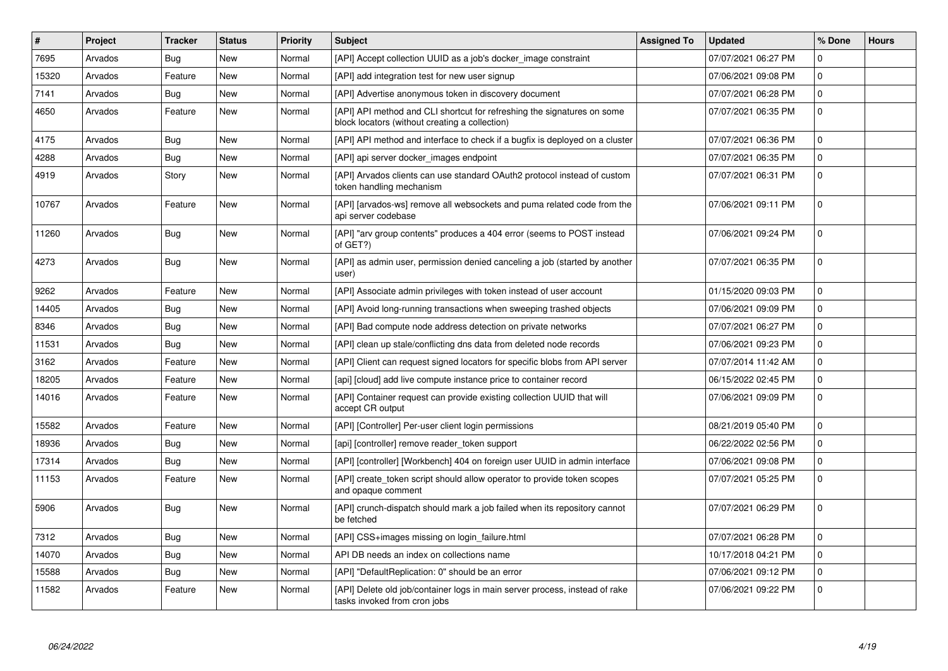| $\vert$ # | Project | <b>Tracker</b> | <b>Status</b> | Priority | <b>Subject</b>                                                                                                            | <b>Assigned To</b> | <b>Updated</b>      | % Done      | <b>Hours</b> |
|-----------|---------|----------------|---------------|----------|---------------------------------------------------------------------------------------------------------------------------|--------------------|---------------------|-------------|--------------|
| 7695      | Arvados | Bug            | <b>New</b>    | Normal   | [API] Accept collection UUID as a job's docker image constraint                                                           |                    | 07/07/2021 06:27 PM | $\Omega$    |              |
| 15320     | Arvados | Feature        | <b>New</b>    | Normal   | [API] add integration test for new user signup                                                                            |                    | 07/06/2021 09:08 PM | $\mathbf 0$ |              |
| 7141      | Arvados | Bug            | New           | Normal   | [API] Advertise anonymous token in discovery document                                                                     |                    | 07/07/2021 06:28 PM | $\Omega$    |              |
| 4650      | Arvados | Feature        | New           | Normal   | [API] API method and CLI shortcut for refreshing the signatures on some<br>block locators (without creating a collection) |                    | 07/07/2021 06:35 PM | 0           |              |
| 4175      | Arvados | <b>Bug</b>     | <b>New</b>    | Normal   | [API] API method and interface to check if a bugfix is deployed on a cluster                                              |                    | 07/07/2021 06:36 PM | $\Omega$    |              |
| 4288      | Arvados | Bug            | <b>New</b>    | Normal   | [API] api server docker_images endpoint                                                                                   |                    | 07/07/2021 06:35 PM | $\mathbf 0$ |              |
| 4919      | Arvados | Story          | <b>New</b>    | Normal   | [API] Arvados clients can use standard OAuth2 protocol instead of custom<br>token handling mechanism                      |                    | 07/07/2021 06:31 PM | $\Omega$    |              |
| 10767     | Arvados | Feature        | New           | Normal   | [API] [arvados-ws] remove all websockets and puma related code from the<br>api server codebase                            |                    | 07/06/2021 09:11 PM | $\mathbf 0$ |              |
| 11260     | Arvados | Bug            | <b>New</b>    | Normal   | [API] "arv group contents" produces a 404 error (seems to POST instead<br>of GET?)                                        |                    | 07/06/2021 09:24 PM | $\Omega$    |              |
| 4273      | Arvados | Bug            | New           | Normal   | [API] as admin user, permission denied canceling a job (started by another<br>user)                                       |                    | 07/07/2021 06:35 PM | $\mathbf 0$ |              |
| 9262      | Arvados | Feature        | New           | Normal   | [API] Associate admin privileges with token instead of user account                                                       |                    | 01/15/2020 09:03 PM | $\Omega$    |              |
| 14405     | Arvados | Bug            | <b>New</b>    | Normal   | [API] Avoid long-running transactions when sweeping trashed objects                                                       |                    | 07/06/2021 09:09 PM | $\mathbf 0$ |              |
| 8346      | Arvados | Bug            | New           | Normal   | [API] Bad compute node address detection on private networks                                                              |                    | 07/07/2021 06:27 PM | $\Omega$    |              |
| 11531     | Arvados | Bug            | <b>New</b>    | Normal   | [API] clean up stale/conflicting dns data from deleted node records                                                       |                    | 07/06/2021 09:23 PM | $\mathbf 0$ |              |
| 3162      | Arvados | Feature        | <b>New</b>    | Normal   | [API] Client can request signed locators for specific blobs from API server                                               |                    | 07/07/2014 11:42 AM | $\mathbf 0$ |              |
| 18205     | Arvados | Feature        | New           | Normal   | [api] [cloud] add live compute instance price to container record                                                         |                    | 06/15/2022 02:45 PM | $\Omega$    |              |
| 14016     | Arvados | Feature        | New           | Normal   | [API] Container request can provide existing collection UUID that will<br>accept CR output                                |                    | 07/06/2021 09:09 PM | $\mathbf 0$ |              |
| 15582     | Arvados | Feature        | New           | Normal   | [API] [Controller] Per-user client login permissions                                                                      |                    | 08/21/2019 05:40 PM | $\mathbf 0$ |              |
| 18936     | Arvados | <b>Bug</b>     | New           | Normal   | [api] [controller] remove reader_token support                                                                            |                    | 06/22/2022 02:56 PM | $\Omega$    |              |
| 17314     | Arvados | Bug            | New           | Normal   | [API] [controller] [Workbench] 404 on foreign user UUID in admin interface                                                |                    | 07/06/2021 09:08 PM | 0           |              |
| 11153     | Arvados | Feature        | <b>New</b>    | Normal   | [API] create token script should allow operator to provide token scopes<br>and opaque comment                             |                    | 07/07/2021 05:25 PM | $\Omega$    |              |
| 5906      | Arvados | Bug            | New           | Normal   | [API] crunch-dispatch should mark a job failed when its repository cannot<br>be fetched                                   |                    | 07/07/2021 06:29 PM | $\mathbf 0$ |              |
| 7312      | Arvados | Bug            | New           | Normal   | [API] CSS+images missing on login failure.html                                                                            |                    | 07/07/2021 06:28 PM | $\Omega$    |              |
| 14070     | Arvados | <b>Bug</b>     | <b>New</b>    | Normal   | API DB needs an index on collections name                                                                                 |                    | 10/17/2018 04:21 PM | $\mathbf 0$ |              |
| 15588     | Arvados | Bug            | <b>New</b>    | Normal   | [API] "DefaultReplication: 0" should be an error                                                                          |                    | 07/06/2021 09:12 PM | $\Omega$    |              |
| 11582     | Arvados | Feature        | New           | Normal   | [API] Delete old job/container logs in main server process, instead of rake<br>tasks invoked from cron jobs               |                    | 07/06/2021 09:22 PM | $\mathbf 0$ |              |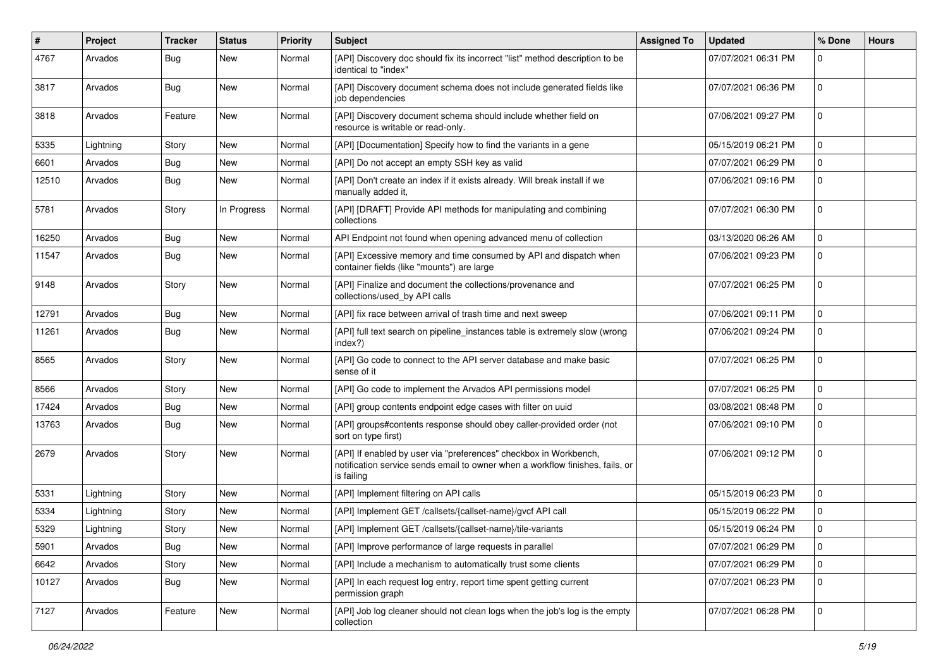| #     | Project   | <b>Tracker</b> | <b>Status</b> | <b>Priority</b> | <b>Subject</b>                                                                                                                                                   | <b>Assigned To</b> | <b>Updated</b>      | % Done      | <b>Hours</b> |
|-------|-----------|----------------|---------------|-----------------|------------------------------------------------------------------------------------------------------------------------------------------------------------------|--------------------|---------------------|-------------|--------------|
| 4767  | Arvados   | Bug            | New           | Normal          | [API] Discovery doc should fix its incorrect "list" method description to be<br>identical to "index"                                                             |                    | 07/07/2021 06:31 PM | $\Omega$    |              |
| 3817  | Arvados   | Bug            | <b>New</b>    | Normal          | [API] Discovery document schema does not include generated fields like<br>job dependencies                                                                       |                    | 07/07/2021 06:36 PM | $\mathbf 0$ |              |
| 3818  | Arvados   | Feature        | <b>New</b>    | Normal          | [API] Discovery document schema should include whether field on<br>resource is writable or read-only.                                                            |                    | 07/06/2021 09:27 PM | $\mathbf 0$ |              |
| 5335  | Lightning | Story          | New           | Normal          | [API] [Documentation] Specify how to find the variants in a gene                                                                                                 |                    | 05/15/2019 06:21 PM | $\Omega$    |              |
| 6601  | Arvados   | Bug            | New           | Normal          | [API] Do not accept an empty SSH key as valid                                                                                                                    |                    | 07/07/2021 06:29 PM | 0           |              |
| 12510 | Arvados   | Bug            | New           | Normal          | [API] Don't create an index if it exists already. Will break install if we<br>manually added it,                                                                 |                    | 07/06/2021 09:16 PM | $\mathbf 0$ |              |
| 5781  | Arvados   | Story          | In Progress   | Normal          | [API] [DRAFT] Provide API methods for manipulating and combining<br>collections                                                                                  |                    | 07/07/2021 06:30 PM | 0           |              |
| 16250 | Arvados   | Bug            | New           | Normal          | API Endpoint not found when opening advanced menu of collection                                                                                                  |                    | 03/13/2020 06:26 AM | $\mathbf 0$ |              |
| 11547 | Arvados   | Bug            | New           | Normal          | [API] Excessive memory and time consumed by API and dispatch when<br>container fields (like "mounts") are large                                                  |                    | 07/06/2021 09:23 PM | $\Omega$    |              |
| 9148  | Arvados   | Story          | <b>New</b>    | Normal          | [API] Finalize and document the collections/provenance and<br>collections/used_by API calls                                                                      |                    | 07/07/2021 06:25 PM | $\mathbf 0$ |              |
| 12791 | Arvados   | Bug            | <b>New</b>    | Normal          | [API] fix race between arrival of trash time and next sweep                                                                                                      |                    | 07/06/2021 09:11 PM | $\mathbf 0$ |              |
| 11261 | Arvados   | Bug            | New           | Normal          | [API] full text search on pipeline_instances table is extremely slow (wrong<br>index?)                                                                           |                    | 07/06/2021 09:24 PM | 0           |              |
| 8565  | Arvados   | Story          | New           | Normal          | [API] Go code to connect to the API server database and make basic<br>sense of it                                                                                |                    | 07/07/2021 06:25 PM | $\Omega$    |              |
| 8566  | Arvados   | Story          | New           | Normal          | [API] Go code to implement the Arvados API permissions model                                                                                                     |                    | 07/07/2021 06:25 PM | $\mathbf 0$ |              |
| 17424 | Arvados   | Bug            | New           | Normal          | [API] group contents endpoint edge cases with filter on uuid                                                                                                     |                    | 03/08/2021 08:48 PM | $\mathbf 0$ |              |
| 13763 | Arvados   | Bug            | New           | Normal          | [API] groups#contents response should obey caller-provided order (not<br>sort on type first)                                                                     |                    | 07/06/2021 09:10 PM | $\mathbf 0$ |              |
| 2679  | Arvados   | Story          | New           | Normal          | [API] If enabled by user via "preferences" checkbox in Workbench,<br>notification service sends email to owner when a workflow finishes, fails, or<br>is failing |                    | 07/06/2021 09:12 PM | $\mathbf 0$ |              |
| 5331  | Lightning | Story          | New           | Normal          | [API] Implement filtering on API calls                                                                                                                           |                    | 05/15/2019 06:23 PM | 0           |              |
| 5334  | Lightning | Story          | New           | Normal          | [API] Implement GET /callsets/{callset-name}/gvcf API call                                                                                                       |                    | 05/15/2019 06:22 PM | $\mathbf 0$ |              |
| 5329  | Lightning | Story          | New           | Normal          | [API] Implement GET /callsets/{callset-name}/tile-variants                                                                                                       |                    | 05/15/2019 06:24 PM | 0           |              |
| 5901  | Arvados   | <b>Bug</b>     | New           | Normal          | [API] Improve performance of large requests in parallel                                                                                                          |                    | 07/07/2021 06:29 PM | 0           |              |
| 6642  | Arvados   | Story          | New           | Normal          | [API] Include a mechanism to automatically trust some clients                                                                                                    |                    | 07/07/2021 06:29 PM | 0           |              |
| 10127 | Arvados   | <b>Bug</b>     | New           | Normal          | [API] In each request log entry, report time spent getting current<br>permission graph                                                                           |                    | 07/07/2021 06:23 PM | $\mathbf 0$ |              |
| 7127  | Arvados   | Feature        | New           | Normal          | [API] Job log cleaner should not clean logs when the job's log is the empty<br>collection                                                                        |                    | 07/07/2021 06:28 PM | $\mathbf 0$ |              |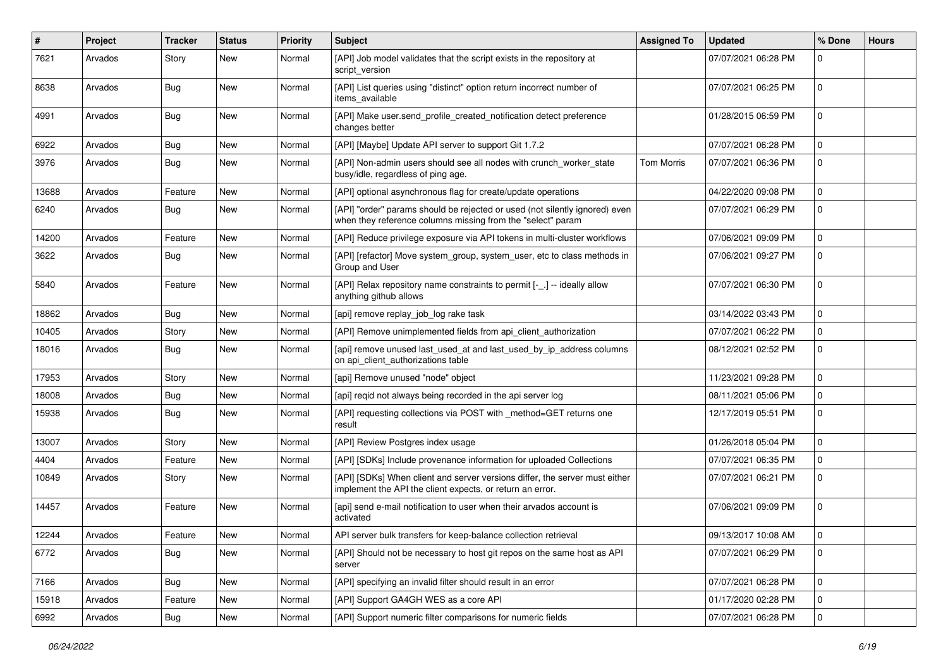| #     | Project | <b>Tracker</b> | <b>Status</b> | <b>Priority</b> | <b>Subject</b>                                                                                                                             | <b>Assigned To</b> | <b>Updated</b>      | % Done      | <b>Hours</b> |
|-------|---------|----------------|---------------|-----------------|--------------------------------------------------------------------------------------------------------------------------------------------|--------------------|---------------------|-------------|--------------|
| 7621  | Arvados | Story          | New           | Normal          | [API] Job model validates that the script exists in the repository at<br>script version                                                    |                    | 07/07/2021 06:28 PM | $\Omega$    |              |
| 8638  | Arvados | Bug            | New           | Normal          | [API] List queries using "distinct" option return incorrect number of<br>items_available                                                   |                    | 07/07/2021 06:25 PM | $\Omega$    |              |
| 4991  | Arvados | Bug            | <b>New</b>    | Normal          | [API] Make user.send_profile_created_notification detect preference<br>changes better                                                      |                    | 01/28/2015 06:59 PM | $\Omega$    |              |
| 6922  | Arvados | Bug            | <b>New</b>    | Normal          | [API] [Maybe] Update API server to support Git 1.7.2                                                                                       |                    | 07/07/2021 06:28 PM | $\Omega$    |              |
| 3976  | Arvados | Bug            | New           | Normal          | [API] Non-admin users should see all nodes with crunch_worker_state<br>busy/idle, regardless of ping age.                                  | Tom Morris         | 07/07/2021 06:36 PM | $\mathbf 0$ |              |
| 13688 | Arvados | Feature        | New           | Normal          | [API] optional asynchronous flag for create/update operations                                                                              |                    | 04/22/2020 09:08 PM | $\Omega$    |              |
| 6240  | Arvados | Bug            | New           | Normal          | [API] "order" params should be rejected or used (not silently ignored) even<br>when they reference columns missing from the "select" param |                    | 07/07/2021 06:29 PM | $\Omega$    |              |
| 14200 | Arvados | Feature        | <b>New</b>    | Normal          | [API] Reduce privilege exposure via API tokens in multi-cluster workflows                                                                  |                    | 07/06/2021 09:09 PM | $\mathbf 0$ |              |
| 3622  | Arvados | Bug            | New           | Normal          | [API] [refactor] Move system_group, system_user, etc to class methods in<br>Group and User                                                 |                    | 07/06/2021 09:27 PM | $\Omega$    |              |
| 5840  | Arvados | Feature        | New           | Normal          | [API] Relax repository name constraints to permit [-_.] -- ideally allow<br>anything github allows                                         |                    | 07/07/2021 06:30 PM | $\mathbf 0$ |              |
| 18862 | Arvados | Bug            | <b>New</b>    | Normal          | [api] remove replay_job_log rake task                                                                                                      |                    | 03/14/2022 03:43 PM | $\Omega$    |              |
| 10405 | Arvados | Story          | New           | Normal          | [API] Remove unimplemented fields from api_client_authorization                                                                            |                    | 07/07/2021 06:22 PM | $\mathbf 0$ |              |
| 18016 | Arvados | Bug            | New           | Normal          | [api] remove unused last_used_at and last_used_by_ip_address columns<br>on api_client_authorizations table                                 |                    | 08/12/2021 02:52 PM | $\Omega$    |              |
| 17953 | Arvados | Story          | New           | Normal          | [api] Remove unused "node" object                                                                                                          |                    | 11/23/2021 09:28 PM | $\Omega$    |              |
| 18008 | Arvados | Bug            | New           | Normal          | [api] reqid not always being recorded in the api server log                                                                                |                    | 08/11/2021 05:06 PM | $\Omega$    |              |
| 15938 | Arvados | Bug            | New           | Normal          | [API] requesting collections via POST with _method=GET returns one<br>result                                                               |                    | 12/17/2019 05:51 PM | $\mathbf 0$ |              |
| 13007 | Arvados | Story          | <b>New</b>    | Normal          | [API] Review Postgres index usage                                                                                                          |                    | 01/26/2018 05:04 PM | $\Omega$    |              |
| 4404  | Arvados | Feature        | New           | Normal          | [API] [SDKs] Include provenance information for uploaded Collections                                                                       |                    | 07/07/2021 06:35 PM | 0           |              |
| 10849 | Arvados | Story          | New           | Normal          | [API] [SDKs] When client and server versions differ, the server must either<br>implement the API the client expects, or return an error.   |                    | 07/07/2021 06:21 PM | $\mathbf 0$ |              |
| 14457 | Arvados | Feature        | New           | Normal          | [api] send e-mail notification to user when their arvados account is<br>activated                                                          |                    | 07/06/2021 09:09 PM | $\Omega$    |              |
| 12244 | Arvados | Feature        | New           | Normal          | API server bulk transfers for keep-balance collection retrieval                                                                            |                    | 09/13/2017 10:08 AM | $\mathbf 0$ |              |
| 6772  | Arvados | Bug            | New           | Normal          | [API] Should not be necessary to host git repos on the same host as API<br>server                                                          |                    | 07/07/2021 06:29 PM | 0           |              |
| 7166  | Arvados | Bug            | New           | Normal          | [API] specifying an invalid filter should result in an error                                                                               |                    | 07/07/2021 06:28 PM | $\mathbf 0$ |              |
| 15918 | Arvados | Feature        | New           | Normal          | [API] Support GA4GH WES as a core API                                                                                                      |                    | 01/17/2020 02:28 PM | $\Omega$    |              |
| 6992  | Arvados | <b>Bug</b>     | New           | Normal          | [API] Support numeric filter comparisons for numeric fields                                                                                |                    | 07/07/2021 06:28 PM | $\mathbf 0$ |              |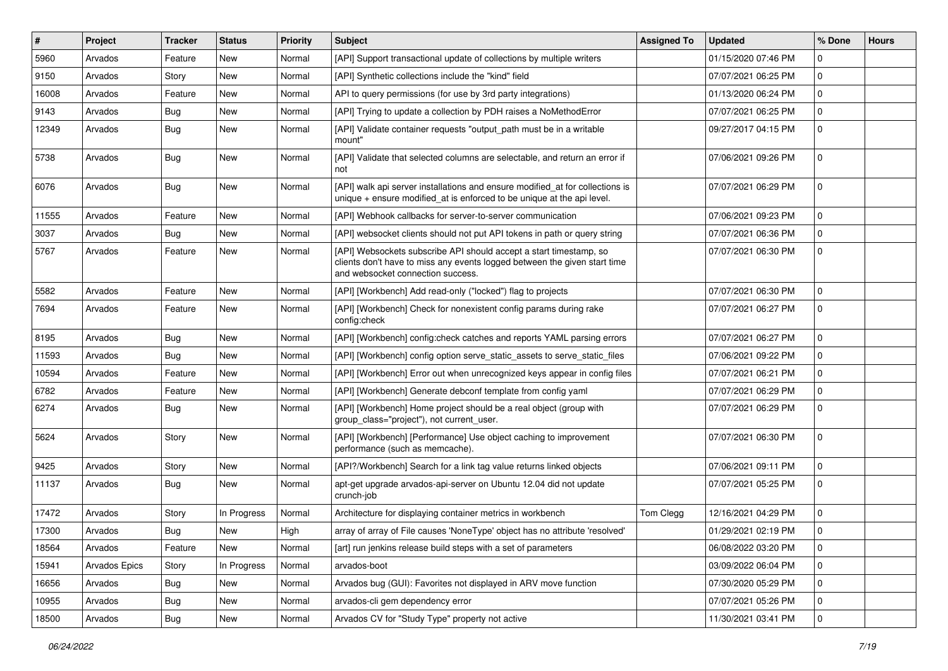| #     | Project              | <b>Tracker</b> | <b>Status</b> | <b>Priority</b> | <b>Subject</b>                                                                                                                                                                       | <b>Assigned To</b> | <b>Updated</b>      | % Done       | <b>Hours</b> |
|-------|----------------------|----------------|---------------|-----------------|--------------------------------------------------------------------------------------------------------------------------------------------------------------------------------------|--------------------|---------------------|--------------|--------------|
| 5960  | Arvados              | Feature        | New           | Normal          | [API] Support transactional update of collections by multiple writers                                                                                                                |                    | 01/15/2020 07:46 PM | <sup>0</sup> |              |
| 9150  | Arvados              | Story          | New           | Normal          | [API] Synthetic collections include the "kind" field                                                                                                                                 |                    | 07/07/2021 06:25 PM | $\mathbf 0$  |              |
| 16008 | Arvados              | Feature        | New           | Normal          | API to query permissions (for use by 3rd party integrations)                                                                                                                         |                    | 01/13/2020 06:24 PM | $\Omega$     |              |
| 9143  | Arvados              | Bug            | New           | Normal          | [API] Trying to update a collection by PDH raises a NoMethodError                                                                                                                    |                    | 07/07/2021 06:25 PM | $\Omega$     |              |
| 12349 | Arvados              | Bug            | New           | Normal          | [API] Validate container requests "output_path must be in a writable<br>mount"                                                                                                       |                    | 09/27/2017 04:15 PM | $\mathbf 0$  |              |
| 5738  | Arvados              | Bug            | <b>New</b>    | Normal          | [API] Validate that selected columns are selectable, and return an error if<br>not                                                                                                   |                    | 07/06/2021 09:26 PM | $\Omega$     |              |
| 6076  | Arvados              | Bug            | New           | Normal          | [API] walk api server installations and ensure modified_at for collections is<br>unique $+$ ensure modified at is enforced to be unique at the api level.                            |                    | 07/07/2021 06:29 PM | $\Omega$     |              |
| 11555 | Arvados              | Feature        | New           | Normal          | [API] Webhook callbacks for server-to-server communication                                                                                                                           |                    | 07/06/2021 09:23 PM | $\Omega$     |              |
| 3037  | Arvados              | Bug            | New           | Normal          | [API] websocket clients should not put API tokens in path or query string                                                                                                            |                    | 07/07/2021 06:36 PM | $\Omega$     |              |
| 5767  | Arvados              | Feature        | New           | Normal          | [API] Websockets subscribe API should accept a start timestamp, so<br>clients don't have to miss any events logged between the given start time<br>and websocket connection success. |                    | 07/07/2021 06:30 PM | 0            |              |
| 5582  | Arvados              | Feature        | <b>New</b>    | Normal          | [API] [Workbench] Add read-only ("locked") flag to projects                                                                                                                          |                    | 07/07/2021 06:30 PM | $\mathbf 0$  |              |
| 7694  | Arvados              | Feature        | New           | Normal          | [API] [Workbench] Check for nonexistent config params during rake<br>config:check                                                                                                    |                    | 07/07/2021 06:27 PM | $\Omega$     |              |
| 8195  | Arvados              | Bug            | <b>New</b>    | Normal          | [API] [Workbench] config:check catches and reports YAML parsing errors                                                                                                               |                    | 07/07/2021 06:27 PM | $\mathbf 0$  |              |
| 11593 | Arvados              | Bug            | New           | Normal          | [API] [Workbench] config option serve_static_assets to serve_static_files                                                                                                            |                    | 07/06/2021 09:22 PM | $\Omega$     |              |
| 10594 | Arvados              | Feature        | New           | Normal          | [API] [Workbench] Error out when unrecognized keys appear in config files                                                                                                            |                    | 07/07/2021 06:21 PM | $\mathbf 0$  |              |
| 6782  | Arvados              | Feature        | New           | Normal          | [API] [Workbench] Generate debconf template from config yaml                                                                                                                         |                    | 07/07/2021 06:29 PM | $\Omega$     |              |
| 6274  | Arvados              | Bug            | New           | Normal          | [API] [Workbench] Home project should be a real object (group with<br>group_class="project"), not current_user.                                                                      |                    | 07/07/2021 06:29 PM | $\Omega$     |              |
| 5624  | Arvados              | Story          | New           | Normal          | [API] [Workbench] [Performance] Use object caching to improvement<br>performance (such as memcache).                                                                                 |                    | 07/07/2021 06:30 PM | $\Omega$     |              |
| 9425  | Arvados              | Story          | New           | Normal          | [API?/Workbench] Search for a link tag value returns linked objects                                                                                                                  |                    | 07/06/2021 09:11 PM | $\mathbf 0$  |              |
| 11137 | Arvados              | Bug            | New           | Normal          | apt-get upgrade arvados-api-server on Ubuntu 12.04 did not update<br>crunch-job                                                                                                      |                    | 07/07/2021 05:25 PM | $\Omega$     |              |
| 17472 | Arvados              | Story          | In Progress   | Normal          | Architecture for displaying container metrics in workbench                                                                                                                           | Tom Clegg          | 12/16/2021 04:29 PM | $\Omega$     |              |
| 17300 | Arvados              | Bug            | New           | High            | array of array of File causes 'NoneType' object has no attribute 'resolved'                                                                                                          |                    | 01/29/2021 02:19 PM | $\Omega$     |              |
| 18564 | Arvados              | Feature        | New           | Normal          | [art] run jenkins release build steps with a set of parameters                                                                                                                       |                    | 06/08/2022 03:20 PM | 0            |              |
| 15941 | <b>Arvados Epics</b> | Story          | In Progress   | Normal          | arvados-boot                                                                                                                                                                         |                    | 03/09/2022 06:04 PM | $\mathbf 0$  |              |
| 16656 | Arvados              | <b>Bug</b>     | New           | Normal          | Arvados bug (GUI): Favorites not displayed in ARV move function                                                                                                                      |                    | 07/30/2020 05:29 PM | 0            |              |
| 10955 | Arvados              | <b>Bug</b>     | New           | Normal          | arvados-cli gem dependency error                                                                                                                                                     |                    | 07/07/2021 05:26 PM | 0            |              |
| 18500 | Arvados              | Bug            | New           | Normal          | Arvados CV for "Study Type" property not active                                                                                                                                      |                    | 11/30/2021 03:41 PM | 0            |              |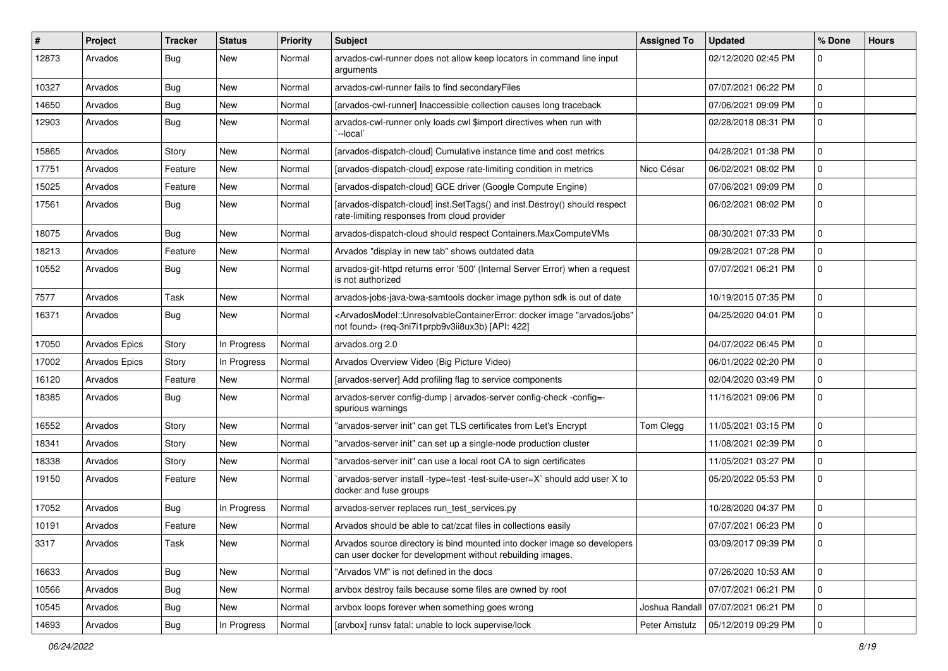| #     | Project              | <b>Tracker</b> | <b>Status</b> | <b>Priority</b> | <b>Subject</b>                                                                                                                                                                        | <b>Assigned To</b> | <b>Updated</b>      | % Done      | <b>Hours</b> |
|-------|----------------------|----------------|---------------|-----------------|---------------------------------------------------------------------------------------------------------------------------------------------------------------------------------------|--------------------|---------------------|-------------|--------------|
| 12873 | Arvados              | Bug            | New           | Normal          | arvados-cwl-runner does not allow keep locators in command line input<br>arguments                                                                                                    |                    | 02/12/2020 02:45 PM | $\Omega$    |              |
| 10327 | Arvados              | Bug            | <b>New</b>    | Normal          | arvados-cwl-runner fails to find secondaryFiles                                                                                                                                       |                    | 07/07/2021 06:22 PM | $\Omega$    |              |
| 14650 | Arvados              | Bug            | New           | Normal          | [arvados-cwl-runner] Inaccessible collection causes long traceback                                                                                                                    |                    | 07/06/2021 09:09 PM | $\mathbf 0$ |              |
| 12903 | Arvados              | Bug            | New           | Normal          | arvados-cwl-runner only loads cwl \$import directives when run with<br>--local`                                                                                                       |                    | 02/28/2018 08:31 PM | 0           |              |
| 15865 | Arvados              | Story          | <b>New</b>    | Normal          | [arvados-dispatch-cloud] Cumulative instance time and cost metrics                                                                                                                    |                    | 04/28/2021 01:38 PM | $\Omega$    |              |
| 17751 | Arvados              | Feature        | New           | Normal          | [arvados-dispatch-cloud] expose rate-limiting condition in metrics                                                                                                                    | Nico César         | 06/02/2021 08:02 PM | 0           |              |
| 15025 | Arvados              | Feature        | New           | Normal          | [arvados-dispatch-cloud] GCE driver (Google Compute Engine)                                                                                                                           |                    | 07/06/2021 09:09 PM | $\mathbf 0$ |              |
| 17561 | Arvados              | Bug            | New           | Normal          | [arvados-dispatch-cloud] inst.SetTags() and inst.Destroy() should respect<br>rate-limiting responses from cloud provider                                                              |                    | 06/02/2021 08:02 PM | 0           |              |
| 18075 | Arvados              | Bug            | New           | Normal          | arvados-dispatch-cloud should respect Containers.MaxComputeVMs                                                                                                                        |                    | 08/30/2021 07:33 PM | $\Omega$    |              |
| 18213 | Arvados              | Feature        | New           | Normal          | Arvados "display in new tab" shows outdated data                                                                                                                                      |                    | 09/28/2021 07:28 PM | $\mathbf 0$ |              |
| 10552 | Arvados              | Bug            | New           | Normal          | arvados-git-httpd returns error '500' (Internal Server Error) when a request<br>is not authorized                                                                                     |                    | 07/07/2021 06:21 PM | $\mathbf 0$ |              |
| 7577  | Arvados              | Task           | New           | Normal          | arvados-jobs-java-bwa-samtools docker image python sdk is out of date                                                                                                                 |                    | 10/19/2015 07:35 PM | 0           |              |
| 16371 | Arvados              | Bug            | New           | Normal          | <arvadosmodel::unresolvablecontainererror: "arvados="" docker="" image="" jobs"<br="">not found&gt; (req-3ni7i1prpb9v3ii8ux3b) [API: 422]</arvadosmodel::unresolvablecontainererror:> |                    | 04/25/2020 04:01 PM | $\mathbf 0$ |              |
| 17050 | <b>Arvados Epics</b> | Story          | In Progress   | Normal          | arvados.org 2.0                                                                                                                                                                       |                    | 04/07/2022 06:45 PM | $\Omega$    |              |
| 17002 | <b>Arvados Epics</b> | Story          | In Progress   | Normal          | Arvados Overview Video (Big Picture Video)                                                                                                                                            |                    | 06/01/2022 02:20 PM | $\Omega$    |              |
| 16120 | Arvados              | Feature        | <b>New</b>    | Normal          | [arvados-server] Add profiling flag to service components                                                                                                                             |                    | 02/04/2020 03:49 PM | $\mathbf 0$ |              |
| 18385 | Arvados              | Bug            | New           | Normal          | arvados-server config-dump   arvados-server config-check -config=-<br>spurious warnings                                                                                               |                    | 11/16/2021 09:06 PM | $\mathbf 0$ |              |
| 16552 | Arvados              | Story          | New           | Normal          | "arvados-server init" can get TLS certificates from Let's Encrypt                                                                                                                     | Tom Clegg          | 11/05/2021 03:15 PM | 0           |              |
| 18341 | Arvados              | Story          | New           | Normal          | 'arvados-server init" can set up a single-node production cluster                                                                                                                     |                    | 11/08/2021 02:39 PM | $\Omega$    |              |
| 18338 | Arvados              | Story          | New           | Normal          | "arvados-server init" can use a local root CA to sign certificates                                                                                                                    |                    | 11/05/2021 03:27 PM | $\mathbf 0$ |              |
| 19150 | Arvados              | Feature        | New           | Normal          | arvados-server install -type=test -test-suite-user=X` should add user X to<br>docker and fuse groups                                                                                  |                    | 05/20/2022 05:53 PM | $\Omega$    |              |
| 17052 | Arvados              | Bug            | In Progress   | Normal          | arvados-server replaces run test services.py                                                                                                                                          |                    | 10/28/2020 04:37 PM | 0           |              |
| 10191 | Arvados              | Feature        | New           | Normal          | Arvados should be able to cat/zcat files in collections easily                                                                                                                        |                    | 07/07/2021 06:23 PM | $\mathbf 0$ |              |
| 3317  | Arvados              | Task           | New           | Normal          | Arvados source directory is bind mounted into docker image so developers<br>can user docker for development without rebuilding images.                                                |                    | 03/09/2017 09:39 PM | $\mathbf 0$ |              |
| 16633 | Arvados              | Bug            | New           | Normal          | "Arvados VM" is not defined in the docs                                                                                                                                               |                    | 07/26/2020 10:53 AM | $\mathbf 0$ |              |
| 10566 | Arvados              | <b>Bug</b>     | New           | Normal          | arvbox destroy fails because some files are owned by root                                                                                                                             |                    | 07/07/2021 06:21 PM | 0           |              |
| 10545 | Arvados              | <b>Bug</b>     | New           | Normal          | arvbox loops forever when something goes wrong                                                                                                                                        | Joshua Randall     | 07/07/2021 06:21 PM | 0           |              |
| 14693 | Arvados              | <b>Bug</b>     | In Progress   | Normal          | [arvbox] runsv fatal: unable to lock supervise/lock                                                                                                                                   | Peter Amstutz      | 05/12/2019 09:29 PM | $\mathbf 0$ |              |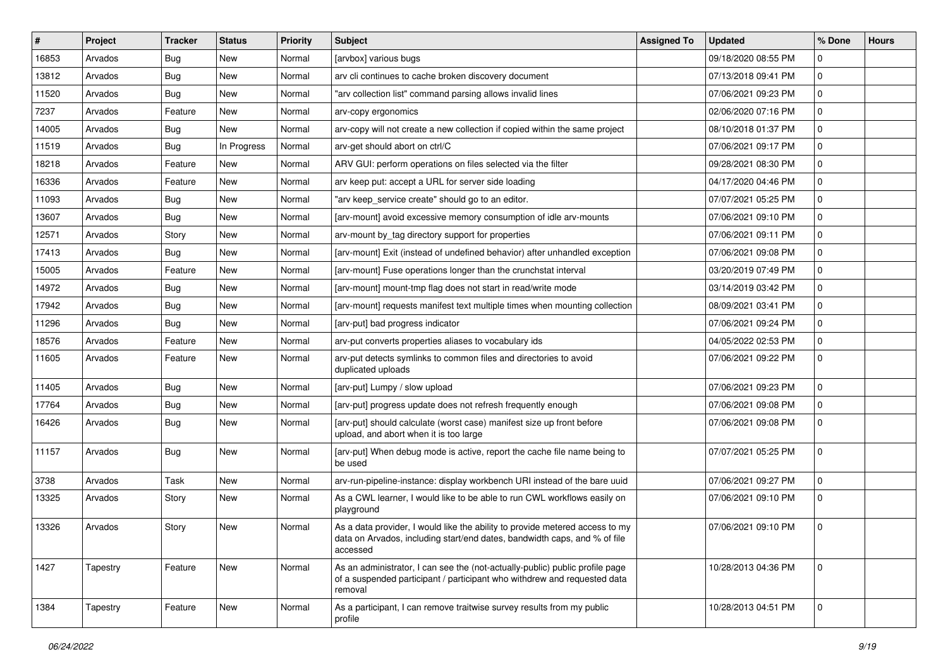| $\vert$ # | Project  | <b>Tracker</b> | <b>Status</b> | <b>Priority</b> | <b>Subject</b>                                                                                                                                                        | <b>Assigned To</b> | <b>Updated</b>      | % Done       | <b>Hours</b> |
|-----------|----------|----------------|---------------|-----------------|-----------------------------------------------------------------------------------------------------------------------------------------------------------------------|--------------------|---------------------|--------------|--------------|
| 16853     | Arvados  | Bug            | New           | Normal          | [arvbox] various bugs                                                                                                                                                 |                    | 09/18/2020 08:55 PM | $\mathbf 0$  |              |
| 13812     | Arvados  | <b>Bug</b>     | <b>New</b>    | Normal          | arv cli continues to cache broken discovery document                                                                                                                  |                    | 07/13/2018 09:41 PM | $\mathbf 0$  |              |
| 11520     | Arvados  | Bug            | New           | Normal          | "arv collection list" command parsing allows invalid lines                                                                                                            |                    | 07/06/2021 09:23 PM | $\mathbf 0$  |              |
| 7237      | Arvados  | Feature        | New           | Normal          | arv-copy ergonomics                                                                                                                                                   |                    | 02/06/2020 07:16 PM | $\mathbf 0$  |              |
| 14005     | Arvados  | Bug            | New           | Normal          | arv-copy will not create a new collection if copied within the same project                                                                                           |                    | 08/10/2018 01:37 PM | $\mathbf 0$  |              |
| 11519     | Arvados  | Bug            | In Progress   | Normal          | arv-get should abort on ctrl/C                                                                                                                                        |                    | 07/06/2021 09:17 PM | $\mathbf{0}$ |              |
| 18218     | Arvados  | Feature        | New           | Normal          | ARV GUI: perform operations on files selected via the filter                                                                                                          |                    | 09/28/2021 08:30 PM | $\mathbf 0$  |              |
| 16336     | Arvados  | Feature        | New           | Normal          | arv keep put: accept a URL for server side loading                                                                                                                    |                    | 04/17/2020 04:46 PM | $\mathbf 0$  |              |
| 11093     | Arvados  | Bug            | New           | Normal          | "arv keep_service create" should go to an editor.                                                                                                                     |                    | 07/07/2021 05:25 PM | $\mathbf 0$  |              |
| 13607     | Arvados  | <b>Bug</b>     | <b>New</b>    | Normal          | [arv-mount] avoid excessive memory consumption of idle arv-mounts                                                                                                     |                    | 07/06/2021 09:10 PM | $\mathbf 0$  |              |
| 12571     | Arvados  | Story          | New           | Normal          | arv-mount by_tag directory support for properties                                                                                                                     |                    | 07/06/2021 09:11 PM | $\mathbf 0$  |              |
| 17413     | Arvados  | Bug            | New           | Normal          | [arv-mount] Exit (instead of undefined behavior) after unhandled exception                                                                                            |                    | 07/06/2021 09:08 PM | $\mathbf 0$  |              |
| 15005     | Arvados  | Feature        | New           | Normal          | [arv-mount] Fuse operations longer than the crunchstat interval                                                                                                       |                    | 03/20/2019 07:49 PM | $\mathbf{0}$ |              |
| 14972     | Arvados  | Bug            | New           | Normal          | [arv-mount] mount-tmp flag does not start in read/write mode                                                                                                          |                    | 03/14/2019 03:42 PM | $\mathbf 0$  |              |
| 17942     | Arvados  | Bug            | <b>New</b>    | Normal          | [arv-mount] requests manifest text multiple times when mounting collection                                                                                            |                    | 08/09/2021 03:41 PM | $\mathbf 0$  |              |
| 11296     | Arvados  | Bug            | <b>New</b>    | Normal          | [arv-put] bad progress indicator                                                                                                                                      |                    | 07/06/2021 09:24 PM | $\mathbf 0$  |              |
| 18576     | Arvados  | Feature        | New           | Normal          | arv-put converts properties aliases to vocabulary ids                                                                                                                 |                    | 04/05/2022 02:53 PM | $\mathbf{0}$ |              |
| 11605     | Arvados  | Feature        | <b>New</b>    | Normal          | arv-put detects symlinks to common files and directories to avoid<br>duplicated uploads                                                                               |                    | 07/06/2021 09:22 PM | $\mathbf{0}$ |              |
| 11405     | Arvados  | Bug            | <b>New</b>    | Normal          | [arv-put] Lumpy / slow upload                                                                                                                                         |                    | 07/06/2021 09:23 PM | $\mathbf{0}$ |              |
| 17764     | Arvados  | Bug            | New           | Normal          | [arv-put] progress update does not refresh frequently enough                                                                                                          |                    | 07/06/2021 09:08 PM | $\mathbf{0}$ |              |
| 16426     | Arvados  | Bug            | <b>New</b>    | Normal          | [arv-put] should calculate (worst case) manifest size up front before<br>upload, and abort when it is too large                                                       |                    | 07/06/2021 09:08 PM | $\Omega$     |              |
| 11157     | Arvados  | Bug            | <b>New</b>    | Normal          | [arv-put] When debug mode is active, report the cache file name being to<br>be used                                                                                   |                    | 07/07/2021 05:25 PM | $\mathbf 0$  |              |
| 3738      | Arvados  | Task           | New           | Normal          | arv-run-pipeline-instance: display workbench URI instead of the bare uuid                                                                                             |                    | 07/06/2021 09:27 PM | $\mathbf 0$  |              |
| 13325     | Arvados  | Story          | New           | Normal          | As a CWL learner, I would like to be able to run CWL workflows easily on<br>playground                                                                                |                    | 07/06/2021 09:10 PM | $\mathbf 0$  |              |
| 13326     | Arvados  | Story          | <b>New</b>    | Normal          | As a data provider, I would like the ability to provide metered access to my<br>data on Arvados, including start/end dates, bandwidth caps, and % of file<br>accessed |                    | 07/06/2021 09:10 PM | $\mathbf 0$  |              |
| 1427      | Tapestry | Feature        | New           | Normal          | As an administrator, I can see the (not-actually-public) public profile page<br>of a suspended participant / participant who withdrew and requested data<br>removal   |                    | 10/28/2013 04:36 PM | $\mathbf 0$  |              |
| 1384      | Tapestry | Feature        | New           | Normal          | As a participant, I can remove traitwise survey results from my public<br>profile                                                                                     |                    | 10/28/2013 04:51 PM | $\mathbf 0$  |              |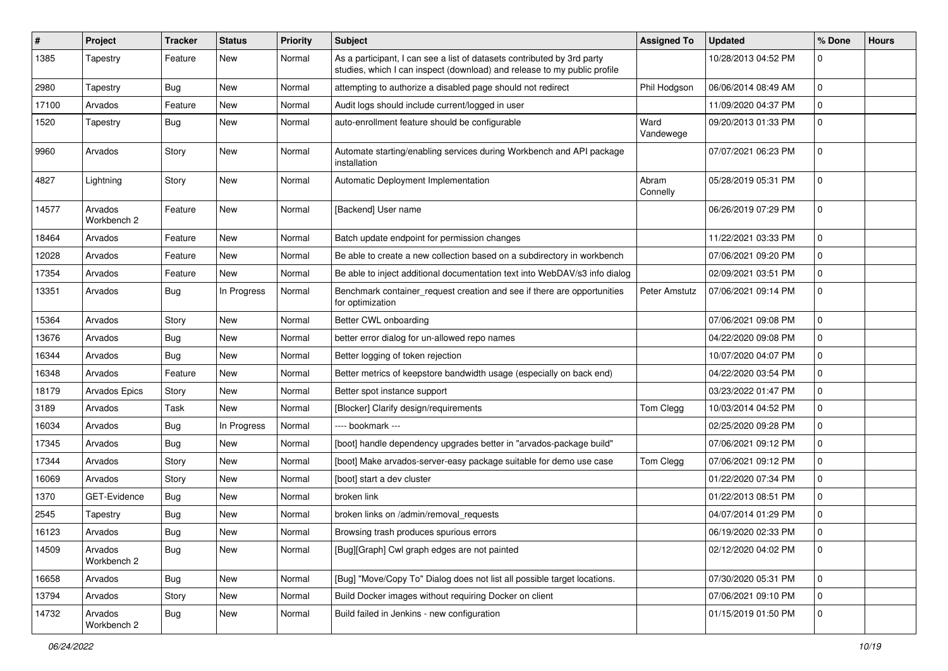| #     | Project                | <b>Tracker</b> | <b>Status</b> | <b>Priority</b> | <b>Subject</b>                                                                                                                                      | <b>Assigned To</b> | <b>Updated</b>      | % Done      | <b>Hours</b> |
|-------|------------------------|----------------|---------------|-----------------|-----------------------------------------------------------------------------------------------------------------------------------------------------|--------------------|---------------------|-------------|--------------|
| 1385  | Tapestry               | Feature        | New           | Normal          | As a participant, I can see a list of datasets contributed by 3rd party<br>studies, which I can inspect (download) and release to my public profile |                    | 10/28/2013 04:52 PM | $\Omega$    |              |
| 2980  | Tapestry               | Bug            | New           | Normal          | attempting to authorize a disabled page should not redirect                                                                                         | Phil Hodgson       | 06/06/2014 08:49 AM | $\mathbf 0$ |              |
| 17100 | Arvados                | Feature        | New           | Normal          | Audit logs should include current/logged in user                                                                                                    |                    | 11/09/2020 04:37 PM | $\mathbf 0$ |              |
| 1520  | Tapestry               | <b>Bug</b>     | New           | Normal          | auto-enrollment feature should be configurable                                                                                                      | Ward<br>Vandewege  | 09/20/2013 01:33 PM | $\mathbf 0$ |              |
| 9960  | Arvados                | Story          | New           | Normal          | Automate starting/enabling services during Workbench and API package<br>installation                                                                |                    | 07/07/2021 06:23 PM | $\Omega$    |              |
| 4827  | Lightning              | Story          | <b>New</b>    | Normal          | Automatic Deployment Implementation                                                                                                                 | Abram<br>Connelly  | 05/28/2019 05:31 PM | $\mathbf 0$ |              |
| 14577 | Arvados<br>Workbench 2 | Feature        | New           | Normal          | [Backend] User name                                                                                                                                 |                    | 06/26/2019 07:29 PM | 0           |              |
| 18464 | Arvados                | Feature        | New           | Normal          | Batch update endpoint for permission changes                                                                                                        |                    | 11/22/2021 03:33 PM | $\mathbf 0$ |              |
| 12028 | Arvados                | Feature        | New           | Normal          | Be able to create a new collection based on a subdirectory in workbench                                                                             |                    | 07/06/2021 09:20 PM | 0           |              |
| 17354 | Arvados                | Feature        | New           | Normal          | Be able to inject additional documentation text into WebDAV/s3 info dialog                                                                          |                    | 02/09/2021 03:51 PM | $\mathbf 0$ |              |
| 13351 | Arvados                | Bug            | In Progress   | Normal          | Benchmark container_request creation and see if there are opportunities<br>for optimization                                                         | Peter Amstutz      | 07/06/2021 09:14 PM | $\mathbf 0$ |              |
| 15364 | Arvados                | Story          | New           | Normal          | Better CWL onboarding                                                                                                                               |                    | 07/06/2021 09:08 PM | $\mathbf 0$ |              |
| 13676 | Arvados                | Bug            | New           | Normal          | better error dialog for un-allowed repo names                                                                                                       |                    | 04/22/2020 09:08 PM | 0           |              |
| 16344 | Arvados                | <b>Bug</b>     | New           | Normal          | Better logging of token rejection                                                                                                                   |                    | 10/07/2020 04:07 PM | $\mathbf 0$ |              |
| 16348 | Arvados                | Feature        | New           | Normal          | Better metrics of keepstore bandwidth usage (especially on back end)                                                                                |                    | 04/22/2020 03:54 PM | $\mathbf 0$ |              |
| 18179 | Arvados Epics          | Story          | New           | Normal          | Better spot instance support                                                                                                                        |                    | 03/23/2022 01:47 PM | 0           |              |
| 3189  | Arvados                | Task           | New           | Normal          | [Blocker] Clarify design/requirements                                                                                                               | Tom Clegg          | 10/03/2014 04:52 PM | $\mathbf 0$ |              |
| 16034 | Arvados                | Bug            | In Progress   | Normal          | ---- bookmark ---                                                                                                                                   |                    | 02/25/2020 09:28 PM | $\mathbf 0$ |              |
| 17345 | Arvados                | Bug            | New           | Normal          | [boot] handle dependency upgrades better in "arvados-package build"                                                                                 |                    | 07/06/2021 09:12 PM | $\mathbf 0$ |              |
| 17344 | Arvados                | Story          | New           | Normal          | [boot] Make arvados-server-easy package suitable for demo use case                                                                                  | Tom Clegg          | 07/06/2021 09:12 PM | $\mathbf 0$ |              |
| 16069 | Arvados                | Story          | New           | Normal          | [boot] start a dev cluster                                                                                                                          |                    | 01/22/2020 07:34 PM | $\mathbf 0$ |              |
| 1370  | GET-Evidence           | Bug            | New           | Normal          | broken link                                                                                                                                         |                    | 01/22/2013 08:51 PM | $\mathbf 0$ |              |
| 2545  | Tapestry               | Bug            | <b>New</b>    | Normal          | broken links on /admin/removal_requests                                                                                                             |                    | 04/07/2014 01:29 PM | 0           |              |
| 16123 | Arvados                | Bug            | New           | Normal          | Browsing trash produces spurious errors                                                                                                             |                    | 06/19/2020 02:33 PM | $\mathbf 0$ |              |
| 14509 | Arvados<br>Workbench 2 | Bug            | New           | Normal          | [Bug][Graph] Cwl graph edges are not painted                                                                                                        |                    | 02/12/2020 04:02 PM | $\mathbf 0$ |              |
| 16658 | Arvados                | Bug            | New           | Normal          | [Bug] "Move/Copy To" Dialog does not list all possible target locations.                                                                            |                    | 07/30/2020 05:31 PM | $\mathbf 0$ |              |
| 13794 | Arvados                | Story          | New           | Normal          | Build Docker images without requiring Docker on client                                                                                              |                    | 07/06/2021 09:10 PM | $\mathbf 0$ |              |
| 14732 | Arvados<br>Workbench 2 | <b>Bug</b>     | New           | Normal          | Build failed in Jenkins - new configuration                                                                                                         |                    | 01/15/2019 01:50 PM | $\mathbf 0$ |              |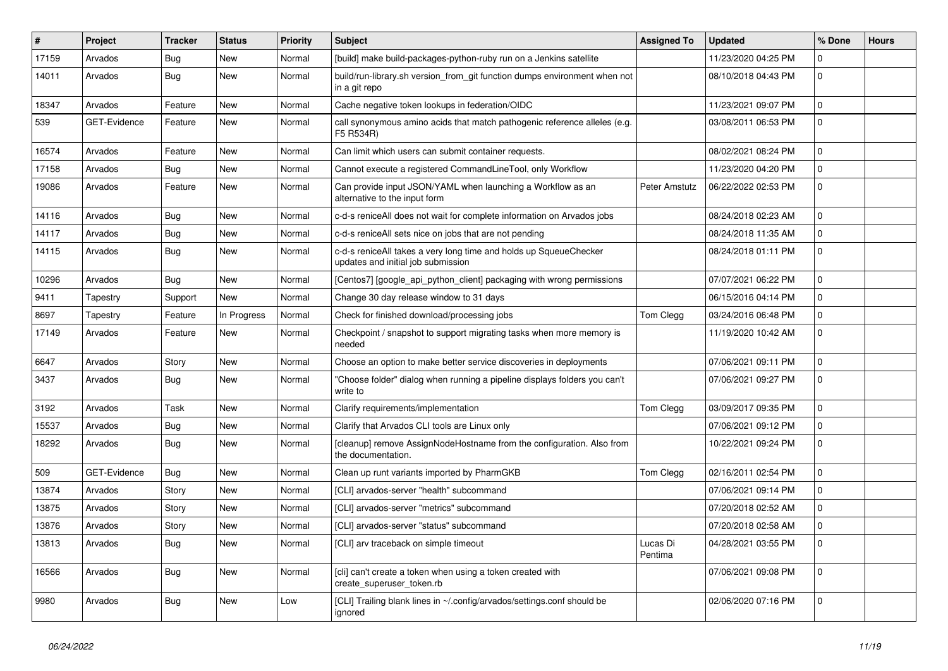| ∥#    | Project             | <b>Tracker</b> | <b>Status</b> | <b>Priority</b> | <b>Subject</b>                                                                                          | <b>Assigned To</b>  | <b>Updated</b>      | % Done      | <b>Hours</b> |
|-------|---------------------|----------------|---------------|-----------------|---------------------------------------------------------------------------------------------------------|---------------------|---------------------|-------------|--------------|
| 17159 | Arvados             | <b>Bug</b>     | <b>New</b>    | Normal          | [build] make build-packages-python-ruby run on a Jenkins satellite                                      |                     | 11/23/2020 04:25 PM | $\mathbf 0$ |              |
| 14011 | Arvados             | <b>Bug</b>     | <b>New</b>    | Normal          | build/run-library.sh version_from_git function dumps environment when not<br>in a git repo              |                     | 08/10/2018 04:43 PM | $\mathbf 0$ |              |
| 18347 | Arvados             | Feature        | <b>New</b>    | Normal          | Cache negative token lookups in federation/OIDC                                                         |                     | 11/23/2021 09:07 PM | $\mathbf 0$ |              |
| 539   | GET-Evidence        | Feature        | New           | Normal          | call synonymous amino acids that match pathogenic reference alleles (e.g.<br>F5 R534R)                  |                     | 03/08/2011 06:53 PM | $\mathbf 0$ |              |
| 16574 | Arvados             | Feature        | New           | Normal          | Can limit which users can submit container requests.                                                    |                     | 08/02/2021 08:24 PM | $\Omega$    |              |
| 17158 | Arvados             | Bug            | New           | Normal          | Cannot execute a registered CommandLineTool, only Workflow                                              |                     | 11/23/2020 04:20 PM | $\Omega$    |              |
| 19086 | Arvados             | Feature        | <b>New</b>    | Normal          | Can provide input JSON/YAML when launching a Workflow as an<br>alternative to the input form            | Peter Amstutz       | 06/22/2022 02:53 PM | $\Omega$    |              |
| 14116 | Arvados             | Bug            | New           | Normal          | c-d-s reniceAll does not wait for complete information on Arvados jobs                                  |                     | 08/24/2018 02:23 AM | $\mathbf 0$ |              |
| 14117 | Arvados             | Bug            | New           | Normal          | c-d-s reniceAll sets nice on jobs that are not pending                                                  |                     | 08/24/2018 11:35 AM | $\mathbf 0$ |              |
| 14115 | Arvados             | Bug            | New           | Normal          | c-d-s reniceAll takes a very long time and holds up SqueueChecker<br>updates and initial job submission |                     | 08/24/2018 01:11 PM | $\mathbf 0$ |              |
| 10296 | Arvados             | Bug            | New           | Normal          | [Centos7] [google_api_python_client] packaging with wrong permissions                                   |                     | 07/07/2021 06:22 PM | $\mathbf 0$ |              |
| 9411  | Tapestry            | Support        | <b>New</b>    | Normal          | Change 30 day release window to 31 days                                                                 |                     | 06/15/2016 04:14 PM | $\mathbf 0$ |              |
| 8697  | Tapestry            | Feature        | In Progress   | Normal          | Check for finished download/processing jobs                                                             | Tom Clegg           | 03/24/2016 06:48 PM | $\mathbf 0$ |              |
| 17149 | Arvados             | Feature        | New           | Normal          | Checkpoint / snapshot to support migrating tasks when more memory is<br>needed                          |                     | 11/19/2020 10:42 AM | $\mathbf 0$ |              |
| 6647  | Arvados             | Story          | New           | Normal          | Choose an option to make better service discoveries in deployments                                      |                     | 07/06/2021 09:11 PM | $\mathbf 0$ |              |
| 3437  | Arvados             | Bug            | <b>New</b>    | Normal          | 'Choose folder" dialog when running a pipeline displays folders you can't<br>write to                   |                     | 07/06/2021 09:27 PM | $\Omega$    |              |
| 3192  | Arvados             | Task           | <b>New</b>    | Normal          | Clarify requirements/implementation                                                                     | Tom Clegg           | 03/09/2017 09:35 PM | $\mathbf 0$ |              |
| 15537 | Arvados             | Bug            | New           | Normal          | Clarify that Arvados CLI tools are Linux only                                                           |                     | 07/06/2021 09:12 PM | $\mathbf 0$ |              |
| 18292 | Arvados             | Bug            | New           | Normal          | [cleanup] remove AssignNodeHostname from the configuration. Also from<br>the documentation.             |                     | 10/22/2021 09:24 PM | $\mathbf 0$ |              |
| 509   | <b>GET-Evidence</b> | Bug            | <b>New</b>    | Normal          | Clean up runt variants imported by PharmGKB                                                             | Tom Clegg           | 02/16/2011 02:54 PM | $\mathbf 0$ |              |
| 13874 | Arvados             | Story          | New           | Normal          | [CLI] arvados-server "health" subcommand                                                                |                     | 07/06/2021 09:14 PM | $\mathbf 0$ |              |
| 13875 | Arvados             | Story          | New           | Normal          | [CLI] arvados-server "metrics" subcommand                                                               |                     | 07/20/2018 02:52 AM | $\pmb{0}$   |              |
| 13876 | Arvados             | Story          | <b>New</b>    | Normal          | [CLI] arvados-server "status" subcommand                                                                |                     | 07/20/2018 02:58 AM | $\Omega$    |              |
| 13813 | Arvados             | Bug            | <b>New</b>    | Normal          | [CLI] arv traceback on simple timeout                                                                   | Lucas Di<br>Pentima | 04/28/2021 03:55 PM | $\Omega$    |              |
| 16566 | Arvados             | Bug            | New           | Normal          | [cli] can't create a token when using a token created with<br>create superuser token.rb                 |                     | 07/06/2021 09:08 PM | $\Omega$    |              |
| 9980  | Arvados             | Bug            | <b>New</b>    | Low             | [CLI] Trailing blank lines in ~/.config/arvados/settings.conf should be<br>ignored                      |                     | 02/06/2020 07:16 PM | $\mathbf 0$ |              |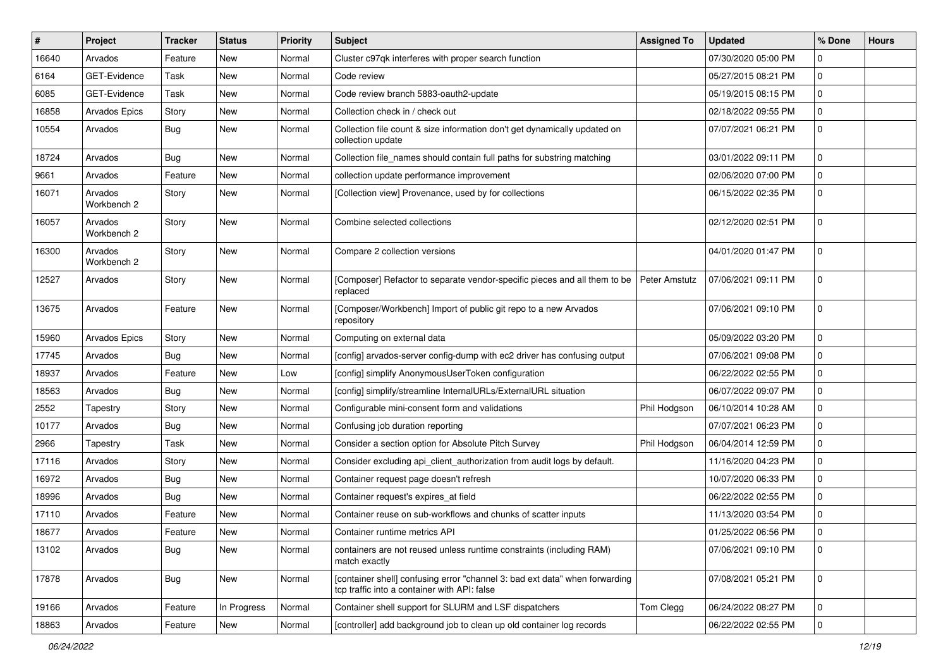| $\sharp$ | Project                | <b>Tracker</b> | <b>Status</b> | <b>Priority</b> | <b>Subject</b>                                                                                                              | <b>Assigned To</b> | <b>Updated</b>      | % Done      | <b>Hours</b> |
|----------|------------------------|----------------|---------------|-----------------|-----------------------------------------------------------------------------------------------------------------------------|--------------------|---------------------|-------------|--------------|
| 16640    | Arvados                | Feature        | <b>New</b>    | Normal          | Cluster c97qk interferes with proper search function                                                                        |                    | 07/30/2020 05:00 PM | $\Omega$    |              |
| 6164     | GET-Evidence           | Task           | <b>New</b>    | Normal          | Code review                                                                                                                 |                    | 05/27/2015 08:21 PM | 0           |              |
| 6085     | GET-Evidence           | Task           | <b>New</b>    | Normal          | Code review branch 5883-oauth2-update                                                                                       |                    | 05/19/2015 08:15 PM | 0           |              |
| 16858    | <b>Arvados Epics</b>   | Story          | <b>New</b>    | Normal          | Collection check in / check out                                                                                             |                    | 02/18/2022 09:55 PM | 0           |              |
| 10554    | Arvados                | Bug            | <b>New</b>    | Normal          | Collection file count & size information don't get dynamically updated on<br>collection update                              |                    | 07/07/2021 06:21 PM | $\mathbf 0$ |              |
| 18724    | Arvados                | <b>Bug</b>     | <b>New</b>    | Normal          | Collection file_names should contain full paths for substring matching                                                      |                    | 03/01/2022 09:11 PM | $\mathbf 0$ |              |
| 9661     | Arvados                | Feature        | New           | Normal          | collection update performance improvement                                                                                   |                    | 02/06/2020 07:00 PM | 0           |              |
| 16071    | Arvados<br>Workbench 2 | Story          | <b>New</b>    | Normal          | [Collection view] Provenance, used by for collections                                                                       |                    | 06/15/2022 02:35 PM | 0           |              |
| 16057    | Arvados<br>Workbench 2 | Story          | <b>New</b>    | Normal          | Combine selected collections                                                                                                |                    | 02/12/2020 02:51 PM | 0           |              |
| 16300    | Arvados<br>Workbench 2 | Story          | <b>New</b>    | Normal          | Compare 2 collection versions                                                                                               |                    | 04/01/2020 01:47 PM | $\mathbf 0$ |              |
| 12527    | Arvados                | Story          | New           | Normal          | [Composer] Refactor to separate vendor-specific pieces and all them to be<br>replaced                                       | Peter Amstutz      | 07/06/2021 09:11 PM | $\Omega$    |              |
| 13675    | Arvados                | Feature        | New           | Normal          | [Composer/Workbench] Import of public git repo to a new Arvados<br>repository                                               |                    | 07/06/2021 09:10 PM | $\mathbf 0$ |              |
| 15960    | Arvados Epics          | Story          | New           | Normal          | Computing on external data                                                                                                  |                    | 05/09/2022 03:20 PM | 0           |              |
| 17745    | Arvados                | Bug            | <b>New</b>    | Normal          | [config] arvados-server config-dump with ec2 driver has confusing output                                                    |                    | 07/06/2021 09:08 PM | $\mathbf 0$ |              |
| 18937    | Arvados                | Feature        | <b>New</b>    | Low             | [config] simplify AnonymousUserToken configuration                                                                          |                    | 06/22/2022 02:55 PM | 0           |              |
| 18563    | Arvados                | <b>Bug</b>     | <b>New</b>    | Normal          | [config] simplify/streamline InternalURLs/ExternalURL situation                                                             |                    | 06/07/2022 09:07 PM | 0           |              |
| 2552     | Tapestry               | Story          | <b>New</b>    | Normal          | Configurable mini-consent form and validations                                                                              | Phil Hodgson       | 06/10/2014 10:28 AM | 0           |              |
| 10177    | Arvados                | <b>Bug</b>     | New           | Normal          | Confusing job duration reporting                                                                                            |                    | 07/07/2021 06:23 PM | 0           |              |
| 2966     | Tapestry               | Task           | <b>New</b>    | Normal          | Consider a section option for Absolute Pitch Survey                                                                         | Phil Hodgson       | 06/04/2014 12:59 PM | $\mathbf 0$ |              |
| 17116    | Arvados                | Story          | <b>New</b>    | Normal          | Consider excluding api_client_authorization from audit logs by default.                                                     |                    | 11/16/2020 04:23 PM | 0           |              |
| 16972    | Arvados                | <b>Bug</b>     | New           | Normal          | Container request page doesn't refresh                                                                                      |                    | 10/07/2020 06:33 PM | 0           |              |
| 18996    | Arvados                | <b>Bug</b>     | <b>New</b>    | Normal          | Container request's expires_at field                                                                                        |                    | 06/22/2022 02:55 PM | 0           |              |
| 17110    | Arvados                | Feature        | New           | Normal          | Container reuse on sub-workflows and chunks of scatter inputs                                                               |                    | 11/13/2020 03:54 PM | 0           |              |
| 18677    | Arvados                | Feature        | <b>New</b>    | Normal          | Container runtime metrics API                                                                                               |                    | 01/25/2022 06:56 PM | $\mathbf 0$ |              |
| 13102    | Arvados                | <b>Bug</b>     | New           | Normal          | containers are not reused unless runtime constraints (including RAM)<br>match exactly                                       |                    | 07/06/2021 09:10 PM | $\mathbf 0$ |              |
| 17878    | Arvados                | <b>Bug</b>     | New           | Normal          | [container shell] confusing error "channel 3: bad ext data" when forwarding<br>tcp traffic into a container with API: false |                    | 07/08/2021 05:21 PM | 0           |              |
| 19166    | Arvados                | Feature        | In Progress   | Normal          | Container shell support for SLURM and LSF dispatchers                                                                       | Tom Clegg          | 06/24/2022 08:27 PM | 0           |              |
| 18863    | Arvados                | Feature        | New           | Normal          | [controller] add background job to clean up old container log records                                                       |                    | 06/22/2022 02:55 PM | $\pmb{0}$   |              |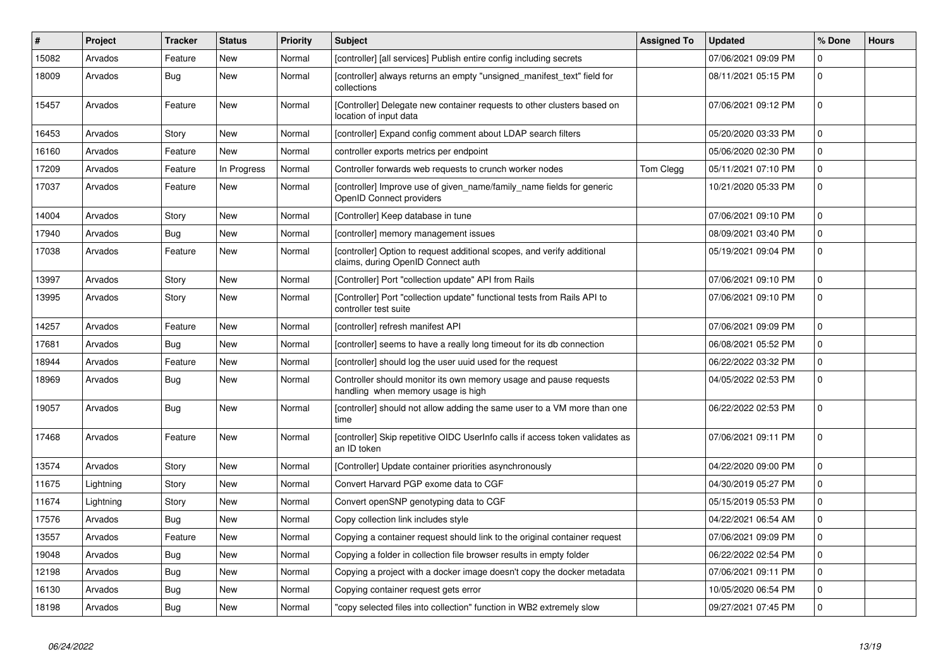| $\vert$ # | Project   | <b>Tracker</b> | <b>Status</b> | <b>Priority</b> | <b>Subject</b>                                                                                                | <b>Assigned To</b> | <b>Updated</b>      | % Done       | <b>Hours</b> |
|-----------|-----------|----------------|---------------|-----------------|---------------------------------------------------------------------------------------------------------------|--------------------|---------------------|--------------|--------------|
| 15082     | Arvados   | Feature        | <b>New</b>    | Normal          | [controller] [all services] Publish entire config including secrets                                           |                    | 07/06/2021 09:09 PM | $\mathbf 0$  |              |
| 18009     | Arvados   | Bug            | <b>New</b>    | Normal          | [controller] always returns an empty "unsigned_manifest_text" field for<br>collections                        |                    | 08/11/2021 05:15 PM | $\mathbf 0$  |              |
| 15457     | Arvados   | Feature        | <b>New</b>    | Normal          | [Controller] Delegate new container requests to other clusters based on<br>location of input data             |                    | 07/06/2021 09:12 PM | $\pmb{0}$    |              |
| 16453     | Arvados   | Story          | New           | Normal          | [controller] Expand config comment about LDAP search filters                                                  |                    | 05/20/2020 03:33 PM | $\mathbf 0$  |              |
| 16160     | Arvados   | Feature        | <b>New</b>    | Normal          | controller exports metrics per endpoint                                                                       |                    | 05/06/2020 02:30 PM | $\mathbf 0$  |              |
| 17209     | Arvados   | Feature        | In Progress   | Normal          | Controller forwards web requests to crunch worker nodes                                                       | Tom Clegg          | 05/11/2021 07:10 PM | $\mathbf{0}$ |              |
| 17037     | Arvados   | Feature        | New           | Normal          | [controller] Improve use of given name/family name fields for generic<br>OpenID Connect providers             |                    | 10/21/2020 05:33 PM | $\mathbf 0$  |              |
| 14004     | Arvados   | Story          | <b>New</b>    | Normal          | [Controller] Keep database in tune                                                                            |                    | 07/06/2021 09:10 PM | $\mathbf 0$  |              |
| 17940     | Arvados   | Bug            | <b>New</b>    | Normal          | [controller] memory management issues                                                                         |                    | 08/09/2021 03:40 PM | $\mathbf{0}$ |              |
| 17038     | Arvados   | Feature        | <b>New</b>    | Normal          | [controller] Option to request additional scopes, and verify additional<br>claims, during OpenID Connect auth |                    | 05/19/2021 09:04 PM | $\Omega$     |              |
| 13997     | Arvados   | Story          | <b>New</b>    | Normal          | [Controller] Port "collection update" API from Rails                                                          |                    | 07/06/2021 09:10 PM | $\mathbf{0}$ |              |
| 13995     | Arvados   | Story          | <b>New</b>    | Normal          | [Controller] Port "collection update" functional tests from Rails API to<br>controller test suite             |                    | 07/06/2021 09:10 PM | $\Omega$     |              |
| 14257     | Arvados   | Feature        | <b>New</b>    | Normal          | [controller] refresh manifest API                                                                             |                    | 07/06/2021 09:09 PM | $\mathbf{0}$ |              |
| 17681     | Arvados   | <b>Bug</b>     | <b>New</b>    | Normal          | [controller] seems to have a really long timeout for its db connection                                        |                    | 06/08/2021 05:52 PM | $\Omega$     |              |
| 18944     | Arvados   | Feature        | New           | Normal          | [controller] should log the user uuid used for the request                                                    |                    | 06/22/2022 03:32 PM | $\mathbf{0}$ |              |
| 18969     | Arvados   | Bug            | <b>New</b>    | Normal          | Controller should monitor its own memory usage and pause requests<br>handling when memory usage is high       |                    | 04/05/2022 02:53 PM | $\mathbf{0}$ |              |
| 19057     | Arvados   | <b>Bug</b>     | New           | Normal          | [controller] should not allow adding the same user to a VM more than one<br>time                              |                    | 06/22/2022 02:53 PM | $\mathbf 0$  |              |
| 17468     | Arvados   | Feature        | New           | Normal          | [controller] Skip repetitive OIDC UserInfo calls if access token validates as<br>an ID token                  |                    | 07/06/2021 09:11 PM | $\mathbf 0$  |              |
| 13574     | Arvados   | Story          | <b>New</b>    | Normal          | [Controller] Update container priorities asynchronously                                                       |                    | 04/22/2020 09:00 PM | $\pmb{0}$    |              |
| 11675     | Lightning | Story          | <b>New</b>    | Normal          | Convert Harvard PGP exome data to CGF                                                                         |                    | 04/30/2019 05:27 PM | $\mathsf 0$  |              |
| 11674     | Lightning | Story          | New           | Normal          | Convert openSNP genotyping data to CGF                                                                        |                    | 05/15/2019 05:53 PM | $\mathbf 0$  |              |
| 17576     | Arvados   | <b>Bug</b>     | <b>New</b>    | Normal          | Copy collection link includes style                                                                           |                    | 04/22/2021 06:54 AM | $\mathbf 0$  |              |
| 13557     | Arvados   | Feature        | <b>New</b>    | Normal          | Copying a container request should link to the original container request                                     |                    | 07/06/2021 09:09 PM | $\mathbf 0$  |              |
| 19048     | Arvados   | Bug            | New           | Normal          | Copying a folder in collection file browser results in empty folder                                           |                    | 06/22/2022 02:54 PM | $\mathbf{0}$ |              |
| 12198     | Arvados   | Bug            | <b>New</b>    | Normal          | Copying a project with a docker image doesn't copy the docker metadata                                        |                    | 07/06/2021 09:11 PM | $\mathbf 0$  |              |
| 16130     | Arvados   | Bug            | New           | Normal          | Copying container request gets error                                                                          |                    | 10/05/2020 06:54 PM | $\mathbf 0$  |              |
| 18198     | Arvados   | Bug            | New           | Normal          | 'copy selected files into collection" function in WB2 extremely slow                                          |                    | 09/27/2021 07:45 PM | $\mathbf 0$  |              |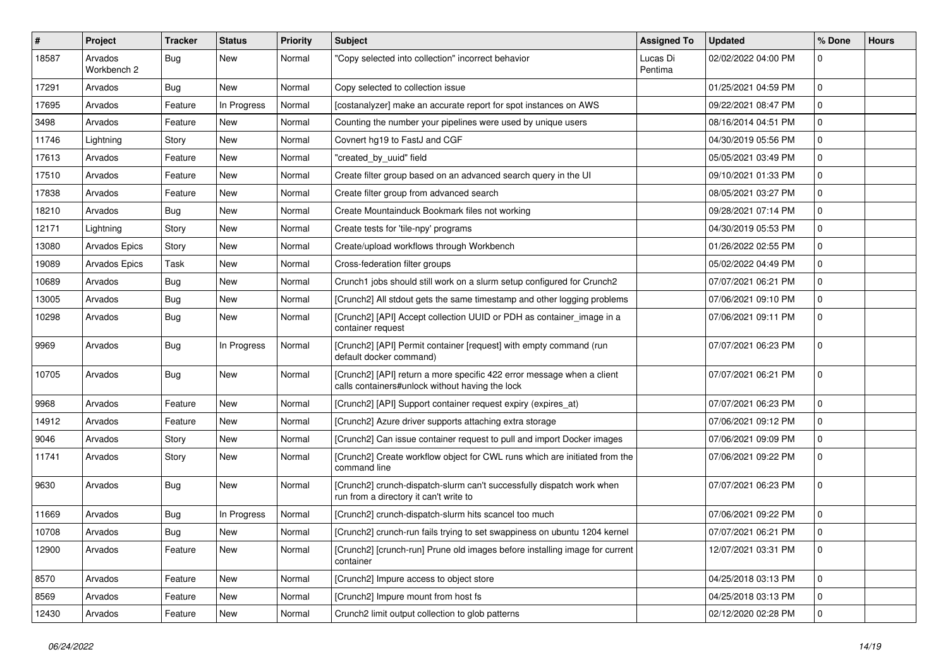| $\sharp$ | Project                | <b>Tracker</b> | <b>Status</b> | <b>Priority</b> | <b>Subject</b>                                                                                                            | <b>Assigned To</b>  | <b>Updated</b>      | % Done       | <b>Hours</b> |
|----------|------------------------|----------------|---------------|-----------------|---------------------------------------------------------------------------------------------------------------------------|---------------------|---------------------|--------------|--------------|
| 18587    | Arvados<br>Workbench 2 | Bug            | New           | Normal          | "Copy selected into collection" incorrect behavior                                                                        | Lucas Di<br>Pentima | 02/02/2022 04:00 PM | $\Omega$     |              |
| 17291    | Arvados                | Bug            | New           | Normal          | Copy selected to collection issue                                                                                         |                     | 01/25/2021 04:59 PM | $\mathbf{0}$ |              |
| 17695    | Arvados                | Feature        | In Progress   | Normal          | [costanalyzer] make an accurate report for spot instances on AWS                                                          |                     | 09/22/2021 08:47 PM | $\mathbf 0$  |              |
| 3498     | Arvados                | Feature        | New           | Normal          | Counting the number your pipelines were used by unique users                                                              |                     | 08/16/2014 04:51 PM | $\mathbf{0}$ |              |
| 11746    | Lightning              | Story          | New           | Normal          | Covnert hg19 to FastJ and CGF                                                                                             |                     | 04/30/2019 05:56 PM | $\Omega$     |              |
| 17613    | Arvados                | Feature        | New           | Normal          | "created_by_uuid" field                                                                                                   |                     | 05/05/2021 03:49 PM | $\mathbf{0}$ |              |
| 17510    | Arvados                | Feature        | New           | Normal          | Create filter group based on an advanced search query in the UI                                                           |                     | 09/10/2021 01:33 PM | $\mathbf 0$  |              |
| 17838    | Arvados                | Feature        | New           | Normal          | Create filter group from advanced search                                                                                  |                     | 08/05/2021 03:27 PM | $\mathbf 0$  |              |
| 18210    | Arvados                | <b>Bug</b>     | New           | Normal          | Create Mountainduck Bookmark files not working                                                                            |                     | 09/28/2021 07:14 PM | $\mathbf{0}$ |              |
| 12171    | Lightning              | Story          | New           | Normal          | Create tests for 'tile-npy' programs                                                                                      |                     | 04/30/2019 05:53 PM | $\mathbf 0$  |              |
| 13080    | Arvados Epics          | Story          | New           | Normal          | Create/upload workflows through Workbench                                                                                 |                     | 01/26/2022 02:55 PM | $\mathbf 0$  |              |
| 19089    | Arvados Epics          | Task           | New           | Normal          | Cross-federation filter groups                                                                                            |                     | 05/02/2022 04:49 PM | $\mathbf 0$  |              |
| 10689    | Arvados                | <b>Bug</b>     | New           | Normal          | Crunch1 jobs should still work on a slurm setup configured for Crunch2                                                    |                     | 07/07/2021 06:21 PM | $\mathbf 0$  |              |
| 13005    | Arvados                | <b>Bug</b>     | New           | Normal          | [Crunch2] All stdout gets the same timestamp and other logging problems                                                   |                     | 07/06/2021 09:10 PM | $\mathbf 0$  |              |
| 10298    | Arvados                | <b>Bug</b>     | New           | Normal          | [Crunch2] [API] Accept collection UUID or PDH as container_image in a<br>container request                                |                     | 07/06/2021 09:11 PM | $\mathbf 0$  |              |
| 9969     | Arvados                | Bug            | In Progress   | Normal          | [Crunch2] [API] Permit container [request] with empty command (run<br>default docker command)                             |                     | 07/07/2021 06:23 PM | $\mathbf{0}$ |              |
| 10705    | Arvados                | Bug            | <b>New</b>    | Normal          | [Crunch2] [API] return a more specific 422 error message when a client<br>calls containers#unlock without having the lock |                     | 07/07/2021 06:21 PM | $\Omega$     |              |
| 9968     | Arvados                | Feature        | <b>New</b>    | Normal          | [Crunch2] [API] Support container request expiry (expires_at)                                                             |                     | 07/07/2021 06:23 PM | $\Omega$     |              |
| 14912    | Arvados                | Feature        | <b>New</b>    | Normal          | [Crunch2] Azure driver supports attaching extra storage                                                                   |                     | 07/06/2021 09:12 PM | $\mathbf{0}$ |              |
| 9046     | Arvados                | Story          | New           | Normal          | [Crunch2] Can issue container request to pull and import Docker images                                                    |                     | 07/06/2021 09:09 PM | $\mathbf 0$  |              |
| 11741    | Arvados                | Story          | New           | Normal          | [Crunch2] Create workflow object for CWL runs which are initiated from the<br>command line                                |                     | 07/06/2021 09:22 PM | $\Omega$     |              |
| 9630     | Arvados                | Bug            | <b>New</b>    | Normal          | [Crunch2] crunch-dispatch-slurm can't successfully dispatch work when<br>run from a directory it can't write to           |                     | 07/07/2021 06:23 PM | $\mathbf 0$  |              |
| 11669    | Arvados                | <b>Bug</b>     | In Progress   | Normal          | [Crunch2] crunch-dispatch-slurm hits scancel too much                                                                     |                     | 07/06/2021 09:22 PM | $\mathbf 0$  |              |
| 10708    | Arvados                | Bug            | New           | Normal          | [Crunch2] crunch-run fails trying to set swappiness on ubuntu 1204 kernel                                                 |                     | 07/07/2021 06:21 PM | $\mathbf 0$  |              |
| 12900    | Arvados                | Feature        | New           | Normal          | [Crunch2] [crunch-run] Prune old images before installing image for current<br>container                                  |                     | 12/07/2021 03:31 PM | $\mathbf 0$  |              |
| 8570     | Arvados                | Feature        | New           | Normal          | [Crunch2] Impure access to object store                                                                                   |                     | 04/25/2018 03:13 PM | $\mathbf 0$  |              |
| 8569     | Arvados                | Feature        | New           | Normal          | [Crunch2] Impure mount from host fs                                                                                       |                     | 04/25/2018 03:13 PM | $\mathbf 0$  |              |
| 12430    | Arvados                | Feature        | New           | Normal          | Crunch2 limit output collection to glob patterns                                                                          |                     | 02/12/2020 02:28 PM | $\mathbf 0$  |              |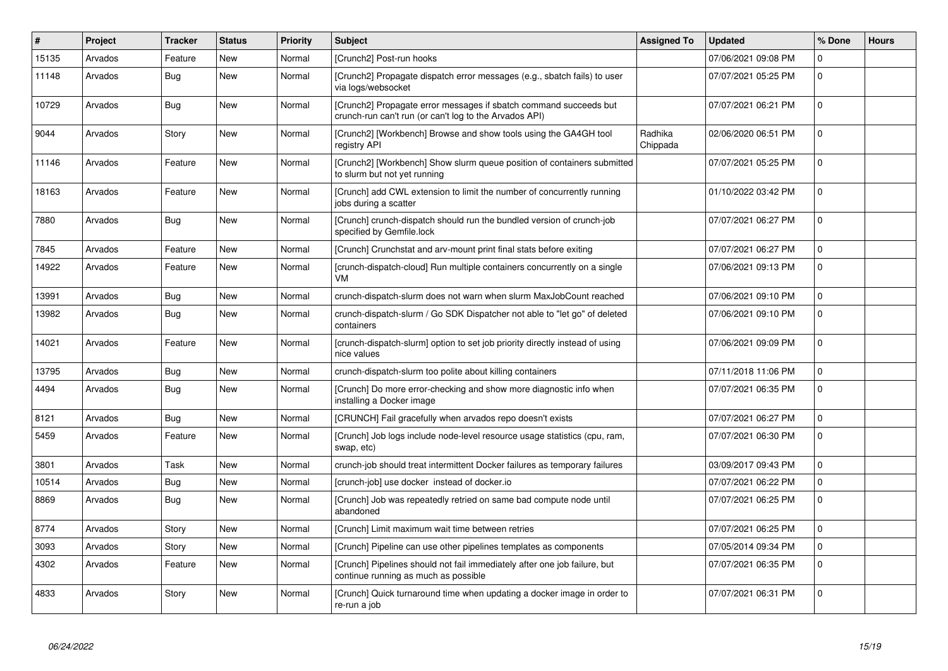| $\vert$ # | Project | <b>Tracker</b> | <b>Status</b> | <b>Priority</b> | <b>Subject</b>                                                                                                              | <b>Assigned To</b>  | <b>Updated</b>      | % Done       | <b>Hours</b> |
|-----------|---------|----------------|---------------|-----------------|-----------------------------------------------------------------------------------------------------------------------------|---------------------|---------------------|--------------|--------------|
| 15135     | Arvados | Feature        | New           | Normal          | [Crunch2] Post-run hooks                                                                                                    |                     | 07/06/2021 09:08 PM | $\mathbf 0$  |              |
| 11148     | Arvados | Bug            | <b>New</b>    | Normal          | [Crunch2] Propagate dispatch error messages (e.g., sbatch fails) to user<br>via logs/websocket                              |                     | 07/07/2021 05:25 PM | $\mathbf 0$  |              |
| 10729     | Arvados | <b>Bug</b>     | New           | Normal          | [Crunch2] Propagate error messages if sbatch command succeeds but<br>crunch-run can't run (or can't log to the Arvados API) |                     | 07/07/2021 06:21 PM | $\mathbf{0}$ |              |
| 9044      | Arvados | Story          | New           | Normal          | [Crunch2] [Workbench] Browse and show tools using the GA4GH tool<br>registry API                                            | Radhika<br>Chippada | 02/06/2020 06:51 PM | $\Omega$     |              |
| 11146     | Arvados | Feature        | New           | Normal          | [Crunch2] [Workbench] Show slurm queue position of containers submitted<br>to slurm but not yet running                     |                     | 07/07/2021 05:25 PM | $\mathbf{0}$ |              |
| 18163     | Arvados | Feature        | New           | Normal          | [Crunch] add CWL extension to limit the number of concurrently running<br>jobs during a scatter                             |                     | 01/10/2022 03:42 PM | $\mathbf{0}$ |              |
| 7880      | Arvados | Bug            | <b>New</b>    | Normal          | [Crunch] crunch-dispatch should run the bundled version of crunch-job<br>specified by Gemfile.lock                          |                     | 07/07/2021 06:27 PM | $\mathbf{0}$ |              |
| 7845      | Arvados | Feature        | New           | Normal          | [Crunch] Crunchstat and arv-mount print final stats before exiting                                                          |                     | 07/07/2021 06:27 PM | $\mathbf 0$  |              |
| 14922     | Arvados | Feature        | New           | Normal          | [crunch-dispatch-cloud] Run multiple containers concurrently on a single<br>VM                                              |                     | 07/06/2021 09:13 PM | $\mathbf 0$  |              |
| 13991     | Arvados | Bug            | New           | Normal          | crunch-dispatch-slurm does not warn when slurm MaxJobCount reached                                                          |                     | 07/06/2021 09:10 PM | $\mathbf{0}$ |              |
| 13982     | Arvados | <b>Bug</b>     | <b>New</b>    | Normal          | crunch-dispatch-slurm / Go SDK Dispatcher not able to "let go" of deleted<br>containers                                     |                     | 07/06/2021 09:10 PM | $\mathbf 0$  |              |
| 14021     | Arvados | Feature        | New           | Normal          | [crunch-dispatch-slurm] option to set job priority directly instead of using<br>nice values                                 |                     | 07/06/2021 09:09 PM | $\Omega$     |              |
| 13795     | Arvados | Bug            | New           | Normal          | crunch-dispatch-slurm too polite about killing containers                                                                   |                     | 07/11/2018 11:06 PM | $\pmb{0}$    |              |
| 4494      | Arvados | <b>Bug</b>     | New           | Normal          | [Crunch] Do more error-checking and show more diagnostic info when<br>installing a Docker image                             |                     | 07/07/2021 06:35 PM | $\mathbf{0}$ |              |
| 8121      | Arvados | <b>Bug</b>     | <b>New</b>    | Normal          | [CRUNCH] Fail gracefully when arvados repo doesn't exists                                                                   |                     | 07/07/2021 06:27 PM | $\mathbf{0}$ |              |
| 5459      | Arvados | Feature        | New           | Normal          | [Crunch] Job logs include node-level resource usage statistics (cpu, ram,<br>swap, etc)                                     |                     | 07/07/2021 06:30 PM | $\mathbf 0$  |              |
| 3801      | Arvados | Task           | <b>New</b>    | Normal          | crunch-job should treat intermittent Docker failures as temporary failures                                                  |                     | 03/09/2017 09:43 PM | $\Omega$     |              |
| 10514     | Arvados | <b>Bug</b>     | New           | Normal          | [crunch-job] use docker instead of docker.io                                                                                |                     | 07/07/2021 06:22 PM | $\mathbf{0}$ |              |
| 8869      | Arvados | <b>Bug</b>     | New           | Normal          | [Crunch] Job was repeatedly retried on same bad compute node until<br>abandoned                                             |                     | 07/07/2021 06:25 PM | $\Omega$     |              |
| 8774      | Arvados | Story          | <b>New</b>    | Normal          | [Crunch] Limit maximum wait time between retries                                                                            |                     | 07/07/2021 06:25 PM | $\Omega$     |              |
| 3093      | Arvados | Story          | New           | Normal          | [Crunch] Pipeline can use other pipelines templates as components                                                           |                     | 07/05/2014 09:34 PM | $\mathbf 0$  |              |
| 4302      | Arvados | Feature        | New           | Normal          | [Crunch] Pipelines should not fail immediately after one job failure, but<br>continue running as much as possible           |                     | 07/07/2021 06:35 PM | $\mathbf{0}$ |              |
| 4833      | Arvados | Story          | <b>New</b>    | Normal          | [Crunch] Quick turnaround time when updating a docker image in order to<br>re-run a job                                     |                     | 07/07/2021 06:31 PM | $\mathbf{0}$ |              |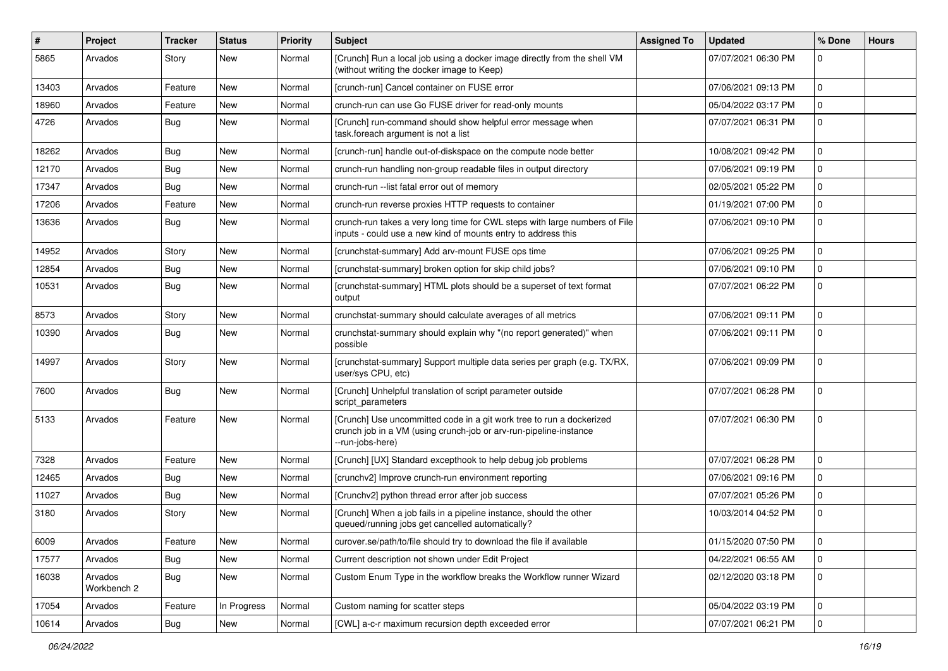| $\pmb{\#}$ | Project                | <b>Tracker</b> | <b>Status</b> | <b>Priority</b> | <b>Subject</b>                                                                                                                                                | <b>Assigned To</b> | <b>Updated</b>      | % Done      | <b>Hours</b> |
|------------|------------------------|----------------|---------------|-----------------|---------------------------------------------------------------------------------------------------------------------------------------------------------------|--------------------|---------------------|-------------|--------------|
| 5865       | Arvados                | Story          | New           | Normal          | [Crunch] Run a local job using a docker image directly from the shell VM<br>(without writing the docker image to Keep)                                        |                    | 07/07/2021 06:30 PM | $\Omega$    |              |
| 13403      | Arvados                | Feature        | <b>New</b>    | Normal          | [crunch-run] Cancel container on FUSE error                                                                                                                   |                    | 07/06/2021 09:13 PM | $\Omega$    |              |
| 18960      | Arvados                | Feature        | New           | Normal          | crunch-run can use Go FUSE driver for read-only mounts                                                                                                        |                    | 05/04/2022 03:17 PM | $\mathbf 0$ |              |
| 4726       | Arvados                | Bug            | New           | Normal          | [Crunch] run-command should show helpful error message when<br>task.foreach argument is not a list                                                            |                    | 07/07/2021 06:31 PM | 0           |              |
| 18262      | Arvados                | Bug            | New           | Normal          | [crunch-run] handle out-of-diskspace on the compute node better                                                                                               |                    | 10/08/2021 09:42 PM | $\Omega$    |              |
| 12170      | Arvados                | Bug            | New           | Normal          | crunch-run handling non-group readable files in output directory                                                                                              |                    | 07/06/2021 09:19 PM | 0           |              |
| 17347      | Arvados                | Bug            | New           | Normal          | crunch-run -- list fatal error out of memory                                                                                                                  |                    | 02/05/2021 05:22 PM | $\mathbf 0$ |              |
| 17206      | Arvados                | Feature        | <b>New</b>    | Normal          | crunch-run reverse proxies HTTP requests to container                                                                                                         |                    | 01/19/2021 07:00 PM | 0           |              |
| 13636      | Arvados                | Bug            | New           | Normal          | crunch-run takes a very long time for CWL steps with large numbers of File<br>inputs - could use a new kind of mounts entry to address this                   |                    | 07/06/2021 09:10 PM | 0           |              |
| 14952      | Arvados                | Story          | New           | Normal          | [crunchstat-summary] Add arv-mount FUSE ops time                                                                                                              |                    | 07/06/2021 09:25 PM | $\mathbf 0$ |              |
| 12854      | Arvados                | Bug            | New           | Normal          | [crunchstat-summary] broken option for skip child jobs?                                                                                                       |                    | 07/06/2021 09:10 PM | $\Omega$    |              |
| 10531      | Arvados                | Bug            | New           | Normal          | [crunchstat-summary] HTML plots should be a superset of text format<br>output                                                                                 |                    | 07/07/2021 06:22 PM | $\Omega$    |              |
| 8573       | Arvados                | Story          | New           | Normal          | crunchstat-summary should calculate averages of all metrics                                                                                                   |                    | 07/06/2021 09:11 PM | $\mathbf 0$ |              |
| 10390      | Arvados                | Bug            | <b>New</b>    | Normal          | crunchstat-summary should explain why "(no report generated)" when<br>possible                                                                                |                    | 07/06/2021 09:11 PM | $\mathbf 0$ |              |
| 14997      | Arvados                | Story          | New           | Normal          | [crunchstat-summary] Support multiple data series per graph (e.g. TX/RX,<br>user/sys CPU, etc)                                                                |                    | 07/06/2021 09:09 PM | $\Omega$    |              |
| 7600       | Arvados                | Bug            | New           | Normal          | [Crunch] Unhelpful translation of script parameter outside<br>script_parameters                                                                               |                    | 07/07/2021 06:28 PM | $\Omega$    |              |
| 5133       | Arvados                | Feature        | New           | Normal          | [Crunch] Use uncommitted code in a git work tree to run a dockerized<br>crunch job in a VM (using crunch-job or arv-run-pipeline-instance<br>--run-jobs-here) |                    | 07/07/2021 06:30 PM | 0           |              |
| 7328       | Arvados                | Feature        | New           | Normal          | [Crunch] [UX] Standard excepthook to help debug job problems                                                                                                  |                    | 07/07/2021 06:28 PM | 0           |              |
| 12465      | Arvados                | Bug            | New           | Normal          | [crunchv2] Improve crunch-run environment reporting                                                                                                           |                    | 07/06/2021 09:16 PM | $\mathbf 0$ |              |
| 11027      | Arvados                | Bug            | <b>New</b>    | Normal          | [Crunchv2] python thread error after job success                                                                                                              |                    | 07/07/2021 05:26 PM | 0           |              |
| 3180       | Arvados                | Story          | New           | Normal          | [Crunch] When a job fails in a pipeline instance, should the other<br>queued/running jobs get cancelled automatically?                                        |                    | 10/03/2014 04:52 PM | 0           |              |
| 6009       | Arvados                | Feature        | New           | Normal          | curover.se/path/to/file should try to download the file if available                                                                                          |                    | 01/15/2020 07:50 PM | 0           |              |
| 17577      | Arvados                | Bug            | New           | Normal          | Current description not shown under Edit Project                                                                                                              |                    | 04/22/2021 06:55 AM | $\mathbf 0$ |              |
| 16038      | Arvados<br>Workbench 2 | <b>Bug</b>     | New           | Normal          | Custom Enum Type in the workflow breaks the Workflow runner Wizard                                                                                            |                    | 02/12/2020 03:18 PM | $\mathbf 0$ |              |
| 17054      | Arvados                | Feature        | In Progress   | Normal          | Custom naming for scatter steps                                                                                                                               |                    | 05/04/2022 03:19 PM | $\mathbf 0$ |              |
| 10614      | Arvados                | Bug            | New           | Normal          | [CWL] a-c-r maximum recursion depth exceeded error                                                                                                            |                    | 07/07/2021 06:21 PM | $\mathbf 0$ |              |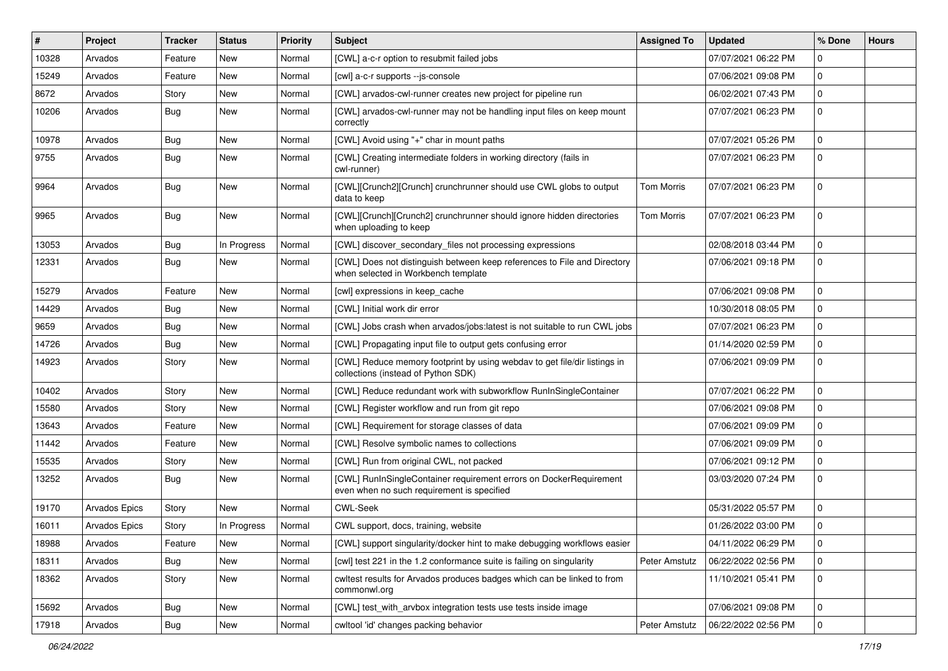| #     | Project              | <b>Tracker</b> | <b>Status</b> | <b>Priority</b> | <b>Subject</b>                                                                                                   | <b>Assigned To</b> | <b>Updated</b>      | % Done      | <b>Hours</b> |
|-------|----------------------|----------------|---------------|-----------------|------------------------------------------------------------------------------------------------------------------|--------------------|---------------------|-------------|--------------|
| 10328 | Arvados              | Feature        | New           | Normal          | [CWL] a-c-r option to resubmit failed jobs                                                                       |                    | 07/07/2021 06:22 PM | $\Omega$    |              |
| 15249 | Arvados              | Feature        | New           | Normal          | [cwl] a-c-r supports --js-console                                                                                |                    | 07/06/2021 09:08 PM | $\mathbf 0$ |              |
| 8672  | Arvados              | Story          | New           | Normal          | [CWL] arvados-cwl-runner creates new project for pipeline run                                                    |                    | 06/02/2021 07:43 PM | $\Omega$    |              |
| 10206 | Arvados              | Bug            | New           | Normal          | [CWL] arvados-cwl-runner may not be handling input files on keep mount<br>correctly                              |                    | 07/07/2021 06:23 PM | $\mathbf 0$ |              |
| 10978 | Arvados              | Bug            | New           | Normal          | [CWL] Avoid using "+" char in mount paths                                                                        |                    | 07/07/2021 05:26 PM | $\Omega$    |              |
| 9755  | Arvados              | Bug            | New           | Normal          | [CWL] Creating intermediate folders in working directory (fails in<br>cwl-runner)                                |                    | 07/07/2021 06:23 PM | $\Omega$    |              |
| 9964  | Arvados              | Bug            | <b>New</b>    | Normal          | [CWL][Crunch2][Crunch] crunchrunner should use CWL globs to output<br>data to keep                               | Tom Morris         | 07/07/2021 06:23 PM | $\Omega$    |              |
| 9965  | Arvados              | Bug            | New           | Normal          | [CWL][Crunch][Crunch2] crunchrunner should ignore hidden directories<br>when uploading to keep                   | <b>Tom Morris</b>  | 07/07/2021 06:23 PM | $\Omega$    |              |
| 13053 | Arvados              | Bug            | In Progress   | Normal          | [CWL] discover_secondary_files not processing expressions                                                        |                    | 02/08/2018 03:44 PM | $\mathbf 0$ |              |
| 12331 | Arvados              | Bug            | New           | Normal          | [CWL] Does not distinguish between keep references to File and Directory<br>when selected in Workbench template  |                    | 07/06/2021 09:18 PM | $\Omega$    |              |
| 15279 | Arvados              | Feature        | New           | Normal          | [cwl] expressions in keep_cache                                                                                  |                    | 07/06/2021 09:08 PM | $\mathbf 0$ |              |
| 14429 | Arvados              | Bug            | New           | Normal          | [CWL] Initial work dir error                                                                                     |                    | 10/30/2018 08:05 PM | $\Omega$    |              |
| 9659  | Arvados              | <b>Bug</b>     | <b>New</b>    | Normal          | [CWL] Jobs crash when arvados/jobs:latest is not suitable to run CWL jobs                                        |                    | 07/07/2021 06:23 PM | $\Omega$    |              |
| 14726 | Arvados              | Bug            | New           | Normal          | [CWL] Propagating input file to output gets confusing error                                                      |                    | 01/14/2020 02:59 PM | $\Omega$    |              |
| 14923 | Arvados              | Story          | New           | Normal          | [CWL] Reduce memory footprint by using webdav to get file/dir listings in<br>collections (instead of Python SDK) |                    | 07/06/2021 09:09 PM | $\Omega$    |              |
| 10402 | Arvados              | Story          | New           | Normal          | [CWL] Reduce redundant work with subworkflow RunInSingleContainer                                                |                    | 07/07/2021 06:22 PM | $\Omega$    |              |
| 15580 | Arvados              | Story          | New           | Normal          | [CWL] Register workflow and run from git repo                                                                    |                    | 07/06/2021 09:08 PM | $\Omega$    |              |
| 13643 | Arvados              | Feature        | New           | Normal          | [CWL] Requirement for storage classes of data                                                                    |                    | 07/06/2021 09:09 PM | 0           |              |
| 11442 | Arvados              | Feature        | New           | Normal          | [CWL] Resolve symbolic names to collections                                                                      |                    | 07/06/2021 09:09 PM | $\Omega$    |              |
| 15535 | Arvados              | Story          | New           | Normal          | [CWL] Run from original CWL, not packed                                                                          |                    | 07/06/2021 09:12 PM | $\mathbf 0$ |              |
| 13252 | Arvados              | Bug            | New           | Normal          | [CWL] RunInSingleContainer requirement errors on DockerRequirement<br>even when no such requirement is specified |                    | 03/03/2020 07:24 PM | $\Omega$    |              |
| 19170 | <b>Arvados Epics</b> | Story          | <b>New</b>    | Normal          | <b>CWL-Seek</b>                                                                                                  |                    | 05/31/2022 05:57 PM | $\mathbf 0$ |              |
| 16011 | Arvados Epics        | Story          | In Progress   | Normal          | CWL support, docs, training, website                                                                             |                    | 01/26/2022 03:00 PM | $\Omega$    |              |
| 18988 | Arvados              | Feature        | New           | Normal          | [CWL] support singularity/docker hint to make debugging workflows easier                                         |                    | 04/11/2022 06:29 PM | $\mathbf 0$ |              |
| 18311 | Arvados              | <b>Bug</b>     | New           | Normal          | [cwl] test 221 in the 1.2 conformance suite is failing on singularity                                            | Peter Amstutz      | 06/22/2022 02:56 PM | 0           |              |
| 18362 | Arvados              | Story          | New           | Normal          | cwltest results for Arvados produces badges which can be linked to from<br>commonwl.org                          |                    | 11/10/2021 05:41 PM | 0           |              |
| 15692 | Arvados              | Bug            | New           | Normal          | [CWL] test with arvbox integration tests use tests inside image                                                  |                    | 07/06/2021 09:08 PM | 0           |              |
| 17918 | Arvados              | Bug            | New           | Normal          | cwltool 'id' changes packing behavior                                                                            | Peter Amstutz      | 06/22/2022 02:56 PM | 0           |              |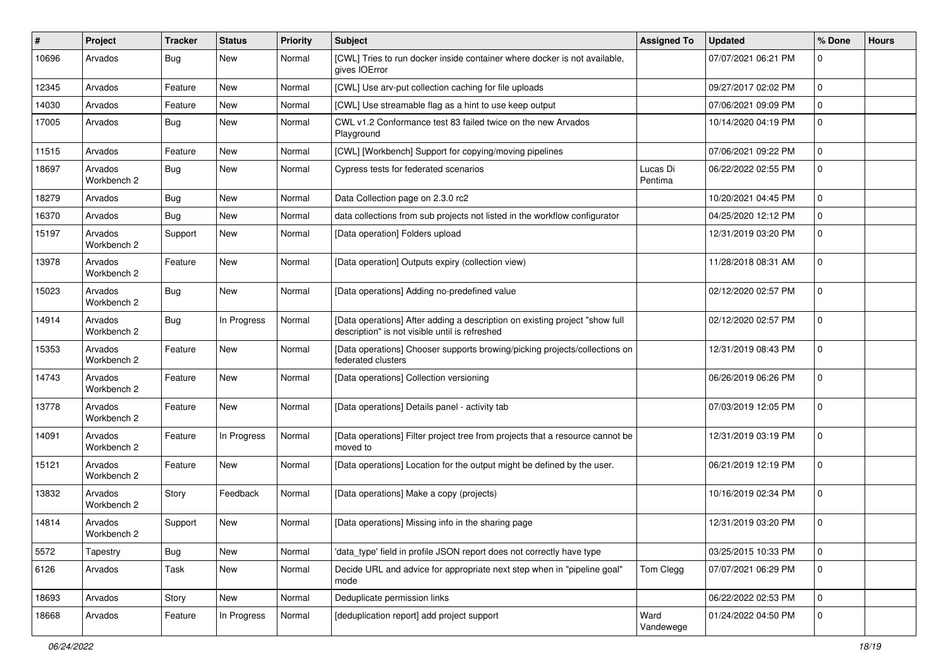| $\sharp$ | Project                | <b>Tracker</b> | <b>Status</b> | <b>Priority</b> | <b>Subject</b>                                                                                                                | <b>Assigned To</b>  | <b>Updated</b>      | % Done      | <b>Hours</b> |
|----------|------------------------|----------------|---------------|-----------------|-------------------------------------------------------------------------------------------------------------------------------|---------------------|---------------------|-------------|--------------|
| 10696    | Arvados                | Bug            | New           | Normal          | [CWL] Tries to run docker inside container where docker is not available,<br>gives IOError                                    |                     | 07/07/2021 06:21 PM | 0           |              |
| 12345    | Arvados                | Feature        | New           | Normal          | [CWL] Use arv-put collection caching for file uploads                                                                         |                     | 09/27/2017 02:02 PM | 0           |              |
| 14030    | Arvados                | Feature        | New           | Normal          | [CWL] Use streamable flag as a hint to use keep output                                                                        |                     | 07/06/2021 09:09 PM | 0           |              |
| 17005    | Arvados                | Bug            | New           | Normal          | CWL v1.2 Conformance test 83 failed twice on the new Arvados<br>Playground                                                    |                     | 10/14/2020 04:19 PM | $\mathbf 0$ |              |
| 11515    | Arvados                | Feature        | New           | Normal          | [CWL] [Workbench] Support for copying/moving pipelines                                                                        |                     | 07/06/2021 09:22 PM | $\mathbf 0$ |              |
| 18697    | Arvados<br>Workbench 2 | <b>Bug</b>     | New           | Normal          | Cypress tests for federated scenarios                                                                                         | Lucas Di<br>Pentima | 06/22/2022 02:55 PM | $\mathbf 0$ |              |
| 18279    | Arvados                | Bug            | <b>New</b>    | Normal          | Data Collection page on 2.3.0 rc2                                                                                             |                     | 10/20/2021 04:45 PM | $\pmb{0}$   |              |
| 16370    | Arvados                | Bug            | New           | Normal          | data collections from sub projects not listed in the workflow configurator                                                    |                     | 04/25/2020 12:12 PM | 0           |              |
| 15197    | Arvados<br>Workbench 2 | Support        | New           | Normal          | [Data operation] Folders upload                                                                                               |                     | 12/31/2019 03:20 PM | $\pmb{0}$   |              |
| 13978    | Arvados<br>Workbench 2 | Feature        | <b>New</b>    | Normal          | [Data operation] Outputs expiry (collection view)                                                                             |                     | 11/28/2018 08:31 AM | 0           |              |
| 15023    | Arvados<br>Workbench 2 | Bug            | <b>New</b>    | Normal          | [Data operations] Adding no-predefined value                                                                                  |                     | 02/12/2020 02:57 PM | $\mathbf 0$ |              |
| 14914    | Arvados<br>Workbench 2 | Bug            | In Progress   | Normal          | [Data operations] After adding a description on existing project "show full<br>description" is not visible until is refreshed |                     | 02/12/2020 02:57 PM | $\Omega$    |              |
| 15353    | Arvados<br>Workbench 2 | Feature        | <b>New</b>    | Normal          | [Data operations] Chooser supports browing/picking projects/collections on<br>federated clusters                              |                     | 12/31/2019 08:43 PM | $\mathbf 0$ |              |
| 14743    | Arvados<br>Workbench 2 | Feature        | New           | Normal          | [Data operations] Collection versioning                                                                                       |                     | 06/26/2019 06:26 PM | 0           |              |
| 13778    | Arvados<br>Workbench 2 | Feature        | New           | Normal          | [Data operations] Details panel - activity tab                                                                                |                     | 07/03/2019 12:05 PM | 0           |              |
| 14091    | Arvados<br>Workbench 2 | Feature        | In Progress   | Normal          | [Data operations] Filter project tree from projects that a resource cannot be<br>moved to                                     |                     | 12/31/2019 03:19 PM | 0           |              |
| 15121    | Arvados<br>Workbench 2 | Feature        | New           | Normal          | [Data operations] Location for the output might be defined by the user.                                                       |                     | 06/21/2019 12:19 PM | 0           |              |
| 13832    | Arvados<br>Workbench 2 | Story          | Feedback      | Normal          | [Data operations] Make a copy (projects)                                                                                      |                     | 10/16/2019 02:34 PM | $\mathbf 0$ |              |
| 14814    | Arvados<br>Workbench 2 | Support        | New           | Normal          | [Data operations] Missing info in the sharing page                                                                            |                     | 12/31/2019 03:20 PM | $\pmb{0}$   |              |
| 5572     | Tapestry               | Bug            | New           | Normal          | 'data_type' field in profile JSON report does not correctly have type                                                         |                     | 03/25/2015 10:33 PM | $\mathbf 0$ |              |
| 6126     | Arvados                | Task           | New           | Normal          | Decide URL and advice for appropriate next step when in "pipeline goal"<br>mode                                               | Tom Clegg           | 07/07/2021 06:29 PM | $\mathbf 0$ |              |
| 18693    | Arvados                | Story          | New           | Normal          | Deduplicate permission links                                                                                                  |                     | 06/22/2022 02:53 PM | $\pmb{0}$   |              |
| 18668    | Arvados                | Feature        | In Progress   | Normal          | [deduplication report] add project support                                                                                    | Ward<br>Vandewege   | 01/24/2022 04:50 PM | 0           |              |